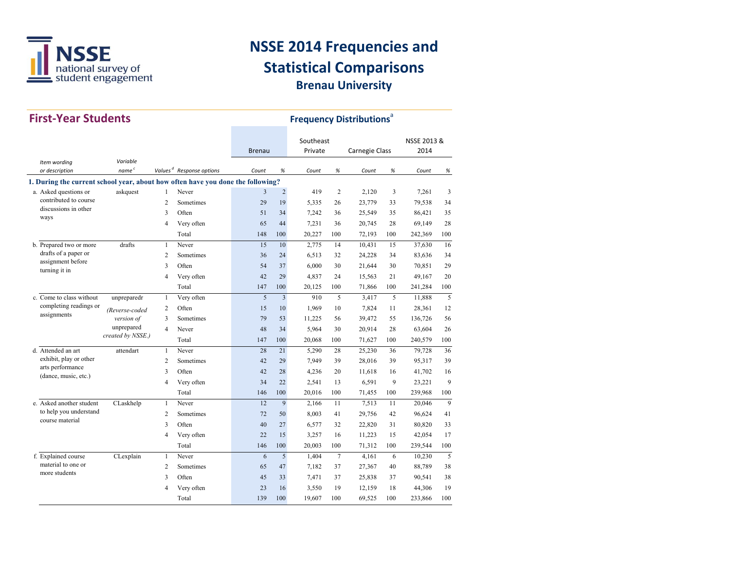

| <b>First-Year Students</b>                                                      |                               |                |                                      |               |                | <b>Frequency Distributions<sup>®</sup></b> |        |                |     |             |              |
|---------------------------------------------------------------------------------|-------------------------------|----------------|--------------------------------------|---------------|----------------|--------------------------------------------|--------|----------------|-----|-------------|--------------|
|                                                                                 |                               |                |                                      |               |                | Southeast                                  |        |                |     | NSSE 2013 & |              |
|                                                                                 |                               |                |                                      | <b>Brenau</b> |                | Private                                    |        | Carnegie Class |     | 2014        |              |
| Item wording<br>or description                                                  | Variable<br>name <sup>c</sup> |                | Values <sup>d</sup> Response options | Count         | %              | Count                                      | $\%$   | Count          | %   | Count       | %            |
| 1. During the current school year, about how often have you done the following? |                               |                |                                      |               |                |                                            |        |                |     |             |              |
| a. Asked questions or                                                           | askquest                      | 1              | Never                                | 3             | $\overline{c}$ | 419                                        | 2      | 2,120          | 3   | 7,261       | 3            |
| contributed to course                                                           |                               | $\overline{2}$ | Sometimes                            | 29            | 19             | 5,335                                      | 26     | 23,779         | 33  | 79,538      | 34           |
| discussions in other<br>ways                                                    |                               | 3              | Often                                | 51            | 34             | 7,242                                      | 36     | 25,549         | 35  | 86,421      | 35           |
|                                                                                 |                               | $\overline{4}$ | Very often                           | 65            | 44             | 7,231                                      | 36     | 20,745         | 28  | 69,149      | 28           |
|                                                                                 |                               |                | Total                                | 148           | 100            | 20,227                                     | 100    | 72,193         | 100 | 242,369     | 100          |
| b. Prepared two or more                                                         | drafts                        | $\mathbf{1}$   | Never                                | 15            | 10             | 2,775                                      | 14     | 10,431         | 15  | 37,630      | 16           |
| drafts of a paper or                                                            |                               | $\overline{2}$ | Sometimes                            | 36            | 24             | 6,513                                      | 32     | 24,228         | 34  | 83,636      | 34           |
| assignment before<br>turning it in                                              |                               | 3              | Often                                | 54            | 37             | 6,000                                      | 30     | 21,644         | 30  | 70,851      | 29           |
|                                                                                 |                               | $\overline{4}$ | Very often                           | 42            | 29             | 4,837                                      | 24     | 15,563         | 21  | 49,167      | 20           |
|                                                                                 |                               |                | Total                                | 147           | 100            | 20,125                                     | 100    | 71,866         | 100 | 241,284     | 100          |
| c. Come to class without                                                        | unpreparedr                   | $\mathbf{1}$   | Very often                           | 5             | $\overline{3}$ | 910                                        | 5      | 3,417          | 5   | 11,888      | 5            |
| completing readings or                                                          | (Reverse-coded                | $\overline{2}$ | Often                                | 15            | 10             | 1,969                                      | 10     | 7,824          | 11  | 28,361      | 12           |
| assignments                                                                     | version of                    | 3              | Sometimes                            | 79            | 53             | 11,225                                     | 56     | 39,472         | 55  | 136,726     | 56           |
|                                                                                 | unprepared                    | $\overline{4}$ | Never                                | 48            | 34             | 5,964                                      | 30     | 20,914         | 28  | 63,604      | 26           |
|                                                                                 | created by NSSE.)             |                | Total                                | 147           | 100            | 20,068                                     | 100    | 71,627         | 100 | 240,579     | 100          |
| d. Attended an art                                                              | attendart                     | $\mathbf{1}$   | Never                                | 28            | 21             | 5.290                                      | 28     | 25,230         | 36  | 79,728      | 36           |
| exhibit, play or other                                                          |                               | $\overline{2}$ | Sometimes                            | 42            | 29             | 7,949                                      | 39     | 28,016         | 39  | 95,317      | 39           |
| arts performance<br>(dance, music, etc.)                                        |                               | 3              | Often                                | 42            | 28             | 4,236                                      | 20     | 11,618         | 16  | 41,702      | 16           |
|                                                                                 |                               | $\overline{4}$ | Very often                           | 34            | 22             | 2,541                                      | 13     | 6,591          | 9   | 23,221      | $\mathbf{Q}$ |
|                                                                                 |                               |                | Total                                | 146           | 100            | 20,016                                     | 100    | 71,455         | 100 | 239,968     | 100          |
| e. Asked another student                                                        | CLaskhelp                     | $\mathbf{1}$   | Never                                | 12            | 9              | 2,166                                      | 11     | 7,513          | 11  | 20,046      | 9            |
| to help you understand                                                          |                               | $\overline{2}$ | Sometimes                            | 72            | 50             | 8,003                                      | 41     | 29,756         | 42  | 96,624      | 41           |
| course material                                                                 |                               | 3              | Often                                | 40            | 27             | 6,577                                      | 32     | 22,820         | 31  | 80,820      | 33           |
|                                                                                 |                               | $\overline{4}$ | Very often                           | 22            | 15             | 3,257                                      | 16     | 11,223         | 15  | 42,054      | 17           |
|                                                                                 |                               |                | Total                                | 146           | 100            | 20,003                                     | 100    | 71,312         | 100 | 239,544     | 100          |
| f. Explained course                                                             | CLexplain                     | $\mathbf{1}$   | Never                                | 6             | 5              | 1,404                                      | $\tau$ | 4,161          | 6   | 10,230      | 5            |
| material to one or                                                              |                               | $\overline{2}$ | Sometimes                            | 65            | 47             | 7,182                                      | 37     | 27,367         | 40  | 88,789      | 38           |
| more students                                                                   |                               | 3              | Often                                | 45            | 33             | 7,471                                      | 37     | 25,838         | 37  | 90,541      | 38           |
|                                                                                 |                               | 4              | Very often                           | 23            | 16             | 3,550                                      | 19     | 12,159         | 18  | 44,306      | 19           |
|                                                                                 |                               |                | Total                                | 139           | 100            | 19,607                                     | 100    | 69,525         | 100 | 233,866     | 100          |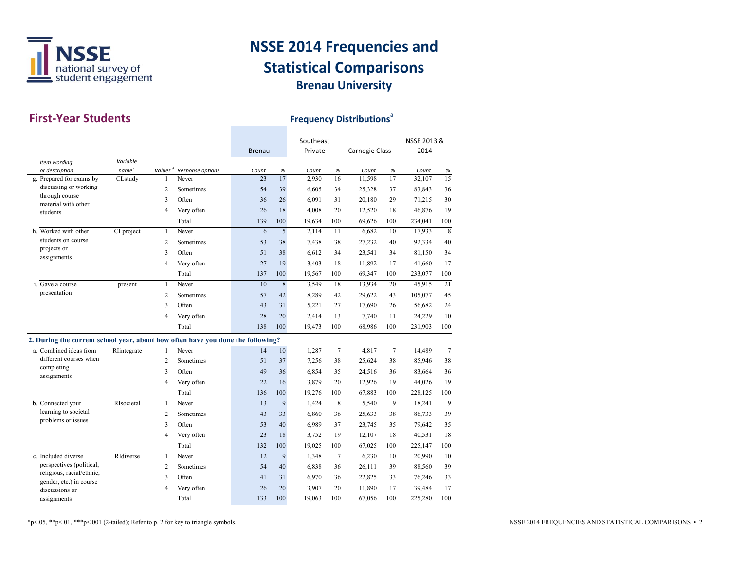

| <b>First-Year Students</b>                                                      |                   |                         |                  |               |             | <b>Frequency Distributions<sup>ª</sup></b> |        |                |      |             |     |
|---------------------------------------------------------------------------------|-------------------|-------------------------|------------------|---------------|-------------|--------------------------------------------|--------|----------------|------|-------------|-----|
|                                                                                 |                   |                         |                  |               |             | Southeast                                  |        |                |      | NSSE 2013 & |     |
|                                                                                 |                   |                         |                  | <b>Brenau</b> |             | Private                                    |        | Carnegie Class |      | 2014        |     |
| Item wording                                                                    | Variable          |                         |                  |               |             |                                            |        |                |      |             |     |
| or description                                                                  | name <sup>c</sup> | Values <sup>d</sup>     | Response options | Count         | $\%$        | Count                                      | $\%$   | Count          | $\%$ | Count       | %   |
| g. Prepared for exams by<br>discussing or working                               | CLstudy           | $\mathbf{1}$            | Never            | 23            | 17          | 2,930                                      | 16     | 11,598         | 17   | 32,107      | 15  |
| through course                                                                  |                   | $\overline{2}$          | Sometimes        | 54            | 39          | 6,605                                      | 34     | 25,328         | 37   | 83,843      | 36  |
| material with other                                                             |                   | 3                       | Often            | 36            | 26          | 6.091                                      | 31     | 20,180         | 29   | 71,215      | 30  |
| students                                                                        |                   | $\overline{4}$          | Very often       | 26            | 18          | 4,008                                      | 20     | 12,520         | 18   | 46,876      | 19  |
|                                                                                 |                   |                         | Total            | 139           | 100         | 19,634                                     | 100    | 69,626         | 100  | 234,041     | 100 |
| h. Worked with other                                                            | CLproject         | $\mathbf{1}$            | Never            | 6             | 5           | 2,114                                      | 11     | 6,682          | 10   | 17,933      | 8   |
| students on course<br>projects or                                               |                   | $\overline{2}$          | Sometimes        | 53            | 38          | 7,438                                      | 38     | 27,232         | 40   | 92,334      | 40  |
| assignments                                                                     |                   | $\overline{\mathbf{3}}$ | Often            | 51            | 38          | 6,612                                      | 34     | 23,541         | 34   | 81,150      | 34  |
|                                                                                 |                   | $\overline{4}$          | Very often       | 27            | 19          | 3,403                                      | 18     | 11,892         | 17   | 41,660      | 17  |
|                                                                                 |                   |                         | Total            | 137           | 100         | 19,567                                     | 100    | 69,347         | 100  | 233,077     | 100 |
| i. Gave a course                                                                | present           | $\mathbf{1}$            | Never            | 10            | $\,$ 8 $\,$ | 3,549                                      | 18     | 13,934         | 20   | 45,915      | 21  |
| presentation                                                                    |                   | $\overline{2}$          | Sometimes        | 57            | 42          | 8,289                                      | 42     | 29,622         | 43   | 105,077     | 45  |
|                                                                                 |                   | 3                       | Often            | 43            | 31          | 5,221                                      | 27     | 17,690         | 26   | 56,682      | 24  |
|                                                                                 |                   | $\overline{4}$          | Very often       | 28            | 20          | 2,414                                      | 13     | 7,740          | 11   | 24,229      | 10  |
|                                                                                 |                   |                         | Total            | 138           | 100         | 19,473                                     | 100    | 68,986         | 100  | 231,903     | 100 |
| 2. During the current school year, about how often have you done the following? |                   |                         |                  |               |             |                                            |        |                |      |             |     |
| a. Combined ideas from                                                          | RIintegrate       | $\mathbf{1}$            | Never            | 14            | 10          | 1,287                                      | 7      | 4,817          | 7    | 14,489      | 7   |
| different courses when                                                          |                   | $\overline{2}$          | Sometimes        | 51            | 37          | 7,256                                      | 38     | 25,624         | 38   | 85,946      | 38  |
| completing                                                                      |                   | 3                       | Often            | 49            | 36          | 6,854                                      | 35     | 24,516         | 36   | 83,664      | 36  |
| assignments                                                                     |                   | $\overline{4}$          | Very often       | 22            | 16          | 3,879                                      | 20     | 12,926         | 19   | 44,026      | 19  |
|                                                                                 |                   |                         | Total            | 136           | 100         | 19,276                                     | 100    | 67,883         | 100  | 228,125     | 100 |
| b. Connected your                                                               | RIsocietal        | $\mathbf{1}$            | Never            | 13            | 9           | 1,424                                      | 8      | 5,540          | 9    | 18,241      | 9   |
| learning to societal                                                            |                   | $\overline{2}$          | Sometimes        | 43            | 33          | 6.860                                      | 36     | 25,633         | 38   | 86,733      | 39  |
| problems or issues                                                              |                   | 3                       | Often            | 53            | 40          | 6,989                                      | 37     | 23,745         | 35   | 79,642      | 35  |
|                                                                                 |                   | $\overline{4}$          | Very often       | 23            | 18          | 3,752                                      | 19     | 12,107         | 18   | 40,531      | 18  |
|                                                                                 |                   |                         | Total            | 132           | 100         | 19,025                                     | 100    | 67,025         | 100  | 225,147     | 100 |
| c. Included diverse                                                             | RIdiverse         | $\mathbf{1}$            | Never            | 12            | 9           | 1,348                                      | $\tau$ | 6,230          | 10   | 20,990      | 10  |
| perspectives (political,                                                        |                   | $\overline{2}$          | Sometimes        | 54            | 40          | 6,838                                      | 36     | 26,111         | 39   | 88,560      | 39  |
| religious, racial/ethnic,                                                       |                   | 3                       | Often            | 41            | 31          | 6,970                                      | 36     | 22,825         | 33   | 76,246      | 33  |
| gender, etc.) in course<br>discussions or                                       |                   | $\overline{4}$          | Very often       | 26            | 20          | 3,907                                      | 20     | 11,890         | 17   | 39,484      | 17  |
| assignments                                                                     |                   |                         | Total            | 133           | 100         | 19,063                                     | 100    | 67,056         | 100  | 225,280     | 100 |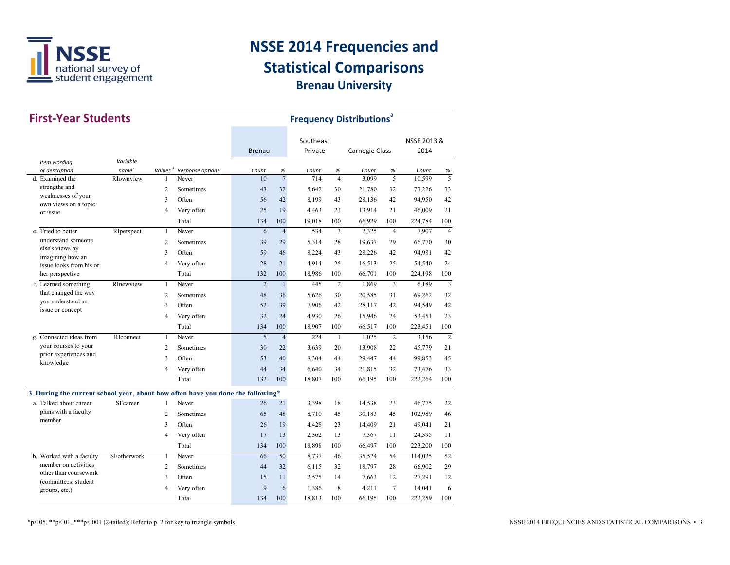

| <b>First-Year Students</b>                                                      |                   |                |                  |                |                | <b>Frequency Distributions<sup>®</sup></b> |                |                       |                 |             |                |
|---------------------------------------------------------------------------------|-------------------|----------------|------------------|----------------|----------------|--------------------------------------------|----------------|-----------------------|-----------------|-------------|----------------|
|                                                                                 |                   |                |                  |                |                | Southeast                                  |                |                       |                 | NSSE 2013 & |                |
|                                                                                 |                   |                |                  | <b>Brenau</b>  |                | Private                                    |                | <b>Carnegie Class</b> |                 | 2014        |                |
| Item wording                                                                    | Variable          |                |                  |                |                |                                            |                |                       |                 |             |                |
| or description                                                                  | name <sup>c</sup> | Values $d$     | Response options | Count          | $\%$           | Count                                      | %              | Count                 | $\%$            | Count       | %              |
| d. Examined the                                                                 | RIownview         | 1              | Never            | 10             | $\overline{7}$ | 714                                        | $\overline{4}$ | 3,099                 | 5               | 10,599      | $\overline{5}$ |
| strengths and<br>weaknesses of your                                             |                   | $\overline{c}$ | Sometimes        | 43             | 32             | 5.642                                      | 30             | 21,780                | 32              | 73,226      | 33             |
| own views on a topic                                                            |                   | 3              | Often            | 56             | 42             | 8,199                                      | 43             | 28,136                | 42              | 94,950      | 42             |
| or issue                                                                        |                   | $\overline{4}$ | Very often       | 25             | 19             | 4,463                                      | 23             | 13,914                | 21              | 46,009      | 21             |
|                                                                                 |                   |                | Total            | 134            | 100            | 19,018                                     | 100            | 66,929                | 100             | 224,784     | 100            |
| e. Tried to better                                                              | RIperspect        | $\mathbf{1}$   | Never            | 6              | $\overline{4}$ | 534                                        | 3              | 2,325                 | $\overline{4}$  | 7,907       | $\overline{4}$ |
| understand someone                                                              |                   | $\overline{c}$ | Sometimes        | 39             | 29             | 5,314                                      | 28             | 19,637                | 29              | 66,770      | 30             |
| else's views by                                                                 |                   | 3              | Often            | 59             | 46             | 8,224                                      | 43             | 28,226                | 42              | 94,981      | 42             |
| imagining how an<br>issue looks from his or                                     |                   | $\overline{4}$ | Very often       | 28             | 21             | 4,914                                      | 25             | 16,513                | 25              | 54,540      | 24             |
| her perspective                                                                 |                   |                | Total            | 132            | 100            | 18,986                                     | 100            | 66,701                | 100             | 224,198     | 100            |
| f. Learned something                                                            | RInewview         | $\mathbf{1}$   | Never            | $\overline{2}$ | $\mathbf{1}$   | 445                                        | $\overline{2}$ | 1,869                 | 3               | 6,189       | 3              |
| that changed the way                                                            |                   | $\overline{c}$ | Sometimes        | 48             | 36             | 5,626                                      | 30             | 20,585                | 31              | 69,262      | 32             |
| you understand an                                                               |                   | 3              | Often            | 52             | 39             | 7,906                                      | 42             | 28,117                | 42              | 94,549      | 42             |
| issue or concept                                                                |                   | $\overline{4}$ | Very often       | 32             | 24             | 4,930                                      | 26             | 15,946                | 24              | 53,451      | 23             |
|                                                                                 |                   |                | Total            | 134            | 100            | 18,907                                     | 100            | 66,517                | 100             | 223,451     | 100            |
| g. Connected ideas from                                                         | RIconnect         | $\mathbf{1}$   | Never            | 5              | $\overline{4}$ | 224                                        | $\mathbf{1}$   | 1,025                 | $\overline{2}$  | 3,156       | $\overline{2}$ |
| your courses to your                                                            |                   | 2              | Sometimes        | 30             | 22             | 3,639                                      | 20             | 13,908                | 22              | 45,779      | 21             |
| prior experiences and                                                           |                   | 3              | Often            | 53             | 40             | 8,304                                      | 44             | 29,447                | 44              | 99,853      | 45             |
| knowledge                                                                       |                   | $\overline{4}$ | Very often       | 44             | 34             | 6,640                                      | 34             | 21,815                | 32              | 73,476      | 33             |
|                                                                                 |                   |                | Total            | 132            | 100            | 18,807                                     | 100            | 66,195                | 100             | 222,264     | 100            |
|                                                                                 |                   |                |                  |                |                |                                            |                |                       |                 |             |                |
| 3. During the current school year, about how often have you done the following? |                   |                |                  |                |                |                                            |                |                       |                 |             |                |
| a. Talked about career                                                          | SFcareer          | $\mathbf{1}$   | Never            | 26             | 21             | 3,398                                      | 18             | 14,538                | 23              | 46,775      | 22             |
| plans with a faculty<br>member                                                  |                   | $\overline{c}$ | Sometimes        | 65             | 48             | 8,710                                      | 45             | 30,183                | 45              | 102,989     | 46             |
|                                                                                 |                   | 3              | Often            | 26             | 19             | 4,428                                      | 23             | 14,409                | 21              | 49,041      | 21             |
|                                                                                 |                   | $\overline{4}$ | Very often       | 17             | 13             | 2,362                                      | 13             | 7,367                 | 11              | 24,395      | 11             |
|                                                                                 |                   |                | Total            | 134            | 100            | 18,898                                     | 100            | 66,497                | 100             | 223,200     | 100            |
| b. Worked with a faculty                                                        | SFotherwork       | $\mathbf{1}$   | Never            | 66             | 50             | 8,737                                      | 46             | 35,524                | 54              | 114,025     | 52             |
| member on activities                                                            |                   | 2              | Sometimes        | 44             | 32             | 6,115                                      | 32             | 18,797                | 28              | 66,902      | 29             |
| other than coursework<br>(committees, student                                   |                   | 3              | Often            | 15             | 11             | 2.575                                      | 14             | 7,663                 | 12              | 27,291      | 12             |
| groups, etc.)                                                                   |                   | $\overline{4}$ | Very often       | 9              | 6              | 1,386                                      | 8              | 4,211                 | $7\phantom{.0}$ | 14,041      | 6              |
|                                                                                 |                   |                | Total            | 134            | 100            | 18,813                                     | 100            | 66,195                | 100             | 222,259     | 100            |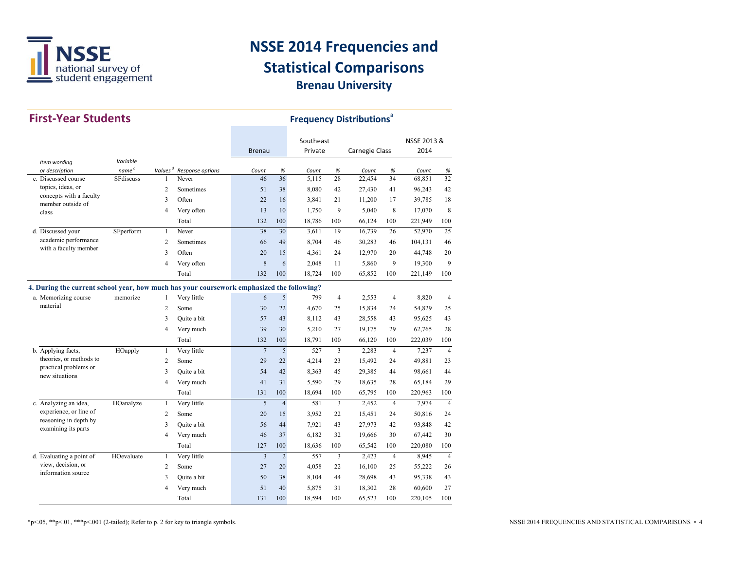

| <b>First-Year Students</b>                                                                |                   |                |                                      | <b>Frequency Distributions</b> <sup>a</sup> |                |           |                |                       |                  |             |                |
|-------------------------------------------------------------------------------------------|-------------------|----------------|--------------------------------------|---------------------------------------------|----------------|-----------|----------------|-----------------------|------------------|-------------|----------------|
|                                                                                           |                   |                |                                      |                                             |                | Southeast |                |                       |                  | NSSE 2013 & |                |
|                                                                                           | Variable          |                |                                      | <b>Brenau</b>                               |                | Private   |                | <b>Carnegie Class</b> |                  | 2014        |                |
| Item wording<br>or description                                                            | name <sup>c</sup> |                | Values <sup>d</sup> Response options | Count                                       | %              | Count     | %              | Count                 | $\%$             | Count       | %              |
| c. Discussed course                                                                       | <b>SF</b> discuss | $\mathbf{1}$   | Never                                | 46                                          | 36             | 5,115     | 28             | 22,454                | 34               | 68,851      | 32             |
| topics, ideas, or                                                                         |                   | $\overline{c}$ | Sometimes                            | 51                                          | 38             | 8,080     | 42             | 27,430                | 41               | 96,243      | 42             |
| concepts with a faculty<br>member outside of                                              |                   | 3              | Often                                | 22                                          | 16             | 3,841     | 21             | 11,200                | 17               | 39.785      | 18             |
| class                                                                                     |                   | $\overline{4}$ | Very often                           | 13                                          | 10             | 1.750     | 9              | 5.040                 | $\boldsymbol{8}$ | 17.070      | 8              |
|                                                                                           |                   |                | Total                                | 132                                         | 100            | 18,786    | 100            | 66,124                | 100              | 221,949     | 100            |
| d. Discussed your                                                                         | SFperform         | $\mathbf{1}$   | Never                                | 38                                          | 30             | 3,611     | 19             | 16,739                | 26               | 52,970      | 25             |
| academic performance                                                                      |                   | $\overline{c}$ | Sometimes                            | 66                                          | 49             | 8,704     | 46             | 30,283                | 46               | 104,131     | 46             |
| with a faculty member                                                                     |                   | 3              | Often                                | 20                                          | 15             | 4,361     | 24             | 12,970                | 20               | 44,748      | 20             |
|                                                                                           |                   | $\overline{4}$ | Very often                           | 8                                           | 6              | 2,048     | 11             | 5,860                 | 9                | 19,300      | 9              |
|                                                                                           |                   |                | Total                                | 132                                         | 100            | 18,724    | 100            | 65,852                | 100              | 221,149     | 100            |
| 4. During the current school year, how much has your coursework emphasized the following? |                   |                |                                      |                                             |                |           |                |                       |                  |             |                |
| a. Memorizing course                                                                      | memorize          | $\mathbf{1}$   | Very little                          | 6                                           | 5              | 799       | $\overline{4}$ | 2,553                 | $\overline{4}$   | 8,820       | $\overline{4}$ |
| material                                                                                  |                   | $\overline{c}$ | Some                                 | 30                                          | 22             | 4,670     | 25             | 15,834                | 24               | 54,829      | 25             |
|                                                                                           |                   | 3              | Quite a bit                          | 57                                          | 43             | 8,112     | 43             | 28,558                | 43               | 95,625      | 43             |
|                                                                                           |                   | 4              | Very much                            | 39                                          | 30             | 5,210     | 27             | 19,175                | 29               | 62,765      | 28             |
|                                                                                           |                   |                | Total                                | 132                                         | 100            | 18,791    | 100            | 66,120                | 100              | 222,039     | 100            |
| b. Applying facts,                                                                        | HOapply           | $\mathbf{1}$   | Very little                          | $\overline{7}$                              | 5              | 527       | 3              | 2,283                 | $\overline{4}$   | 7,237       | $\overline{4}$ |
| theories, or methods to                                                                   |                   | $\overline{c}$ | Some                                 | 29                                          | 22             | 4,214     | 23             | 15,492                | 24               | 49,881      | 23             |
| practical problems or<br>new situations                                                   |                   | 3              | Quite a bit                          | 54                                          | 42             | 8,363     | 45             | 29,385                | 44               | 98,661      | 44             |
|                                                                                           |                   | 4              | Very much                            | 41                                          | 31             | 5,590     | 29             | 18,635                | 28               | 65,184      | 29             |
|                                                                                           |                   |                | Total                                | 131                                         | 100            | 18,694    | 100            | 65,795                | 100              | 220,963     | 100            |
| c. Analyzing an idea,                                                                     | HOanalyze         | $\mathbf{1}$   | Very little                          | 5                                           | $\overline{4}$ | 581       | 3              | 2,452                 | $\overline{4}$   | 7,974       | $\overline{4}$ |
| experience, or line of                                                                    |                   | $\overline{c}$ | Some                                 | 20                                          | 15             | 3,952     | 22             | 15,451                | 24               | 50,816      | 24             |
| reasoning in depth by<br>examining its parts                                              |                   | 3              | Quite a bit                          | 56                                          | 44             | 7,921     | 43             | 27,973                | 42               | 93,848      | 42             |
|                                                                                           |                   | $\overline{4}$ | Very much                            | 46                                          | 37             | 6.182     | 32             | 19,666                | 30               | 67,442      | 30             |
|                                                                                           |                   |                | Total                                | 127                                         | 100            | 18,636    | 100            | 65,542                | 100              | 220,080     | 100            |
| d. Evaluating a point of                                                                  | HOevaluate        | $\mathbf{1}$   | Very little                          | 3                                           | $\overline{2}$ | 557       | $\overline{3}$ | 2,423                 | $\overline{4}$   | 8.945       | $\overline{4}$ |
| view, decision, or                                                                        |                   | 2              | Some                                 | 27                                          | 20             | 4,058     | 22             | 16,100                | 25               | 55,222      | 26             |
| information source                                                                        |                   | 3              | Quite a bit                          | 50                                          | 38             | 8,104     | 44             | 28,698                | 43               | 95,338      | 43             |
|                                                                                           |                   | $\overline{4}$ | Very much                            | 51                                          | 40             | 5,875     | 31             | 18,302                | 28               | 60,600      | 27             |
|                                                                                           |                   |                | Total                                | 131                                         | 100            | 18,594    | 100            | 65,523                | 100              | 220,105     | 100            |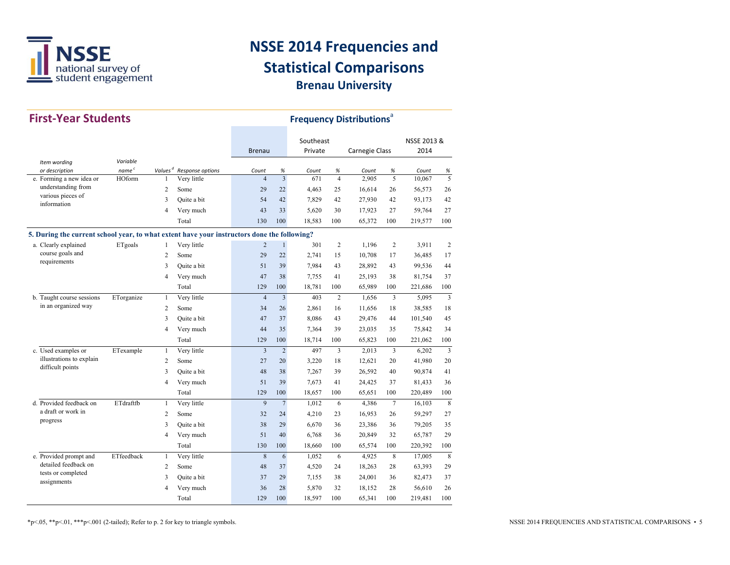

| <b>First-Year Students</b>                                                                  |                   | <b>Frequency Distributions<sup>ª</sup></b> |                  |                |                |                      |                |                |                |                     |                |
|---------------------------------------------------------------------------------------------|-------------------|--------------------------------------------|------------------|----------------|----------------|----------------------|----------------|----------------|----------------|---------------------|----------------|
|                                                                                             |                   |                                            |                  | <b>Brenau</b>  |                | Southeast<br>Private |                | Carnegie Class |                | NSSE 2013 &<br>2014 |                |
| Item wording                                                                                | Variable          |                                            |                  |                |                |                      |                |                |                |                     |                |
| or description                                                                              | name <sup>c</sup> | Values <sup>d</sup>                        | Response options | Count          | %              | Count                | %              | Count          | %              | Count               | %              |
| e. Forming a new idea or                                                                    | HOform            | $\mathbf{1}$                               | Very little      | $\overline{4}$ | $\overline{3}$ | 671                  | $\overline{4}$ | 2.905          | 5              | 10.067              | 5              |
| understanding from<br>various pieces of                                                     |                   | $\overline{c}$                             | Some             | 29             | 22             | 4,463                | 25             | 16,614         | 26             | 56,573              | 26             |
| information                                                                                 |                   | 3                                          | Ouite a bit      | 54             | 42             | 7,829                | 42             | 27,930         | 42             | 93,173              | 42             |
|                                                                                             |                   | 4                                          | Very much        | 43             | 33             | 5,620                | 30             | 17,923         | 27             | 59.764              | 27             |
|                                                                                             |                   |                                            | Total            | 130            | 100            | 18,583               | 100            | 65,372         | 100            | 219,577             | 100            |
| 5. During the current school year, to what extent have your instructors done the following? |                   |                                            |                  |                |                |                      |                |                |                |                     |                |
| a. Clearly explained                                                                        | ETgoals           | $\mathbf{1}$                               | Very little      | $\overline{c}$ | $\mathbf{1}$   | 301                  | $\overline{c}$ | 1.196          | $\overline{2}$ | 3,911               | $\overline{2}$ |
| course goals and                                                                            |                   | 2                                          | Some             | 29             | 22             | 2,741                | 15             | 10,708         | 17             | 36,485              | 17             |
| requirements                                                                                |                   | 3                                          | Quite a bit      | 51             | 39             | 7,984                | 43             | 28,892         | 43             | 99,536              | 44             |
|                                                                                             |                   | 4                                          | Very much        | 47             | 38             | 7,755                | 41             | 25,193         | 38             | 81,754              | 37             |
|                                                                                             |                   |                                            | Total            | 129            | 100            | 18,781               | 100            | 65,989         | 100            | 221,686             | 100            |
| b. Taught course sessions                                                                   | ETorganize        | $\mathbf{1}$                               | Very little      | $\overline{4}$ | $\overline{3}$ | 403                  | $\overline{2}$ | 1,656          | 3              | 5,095               | $\overline{3}$ |
| in an organized way                                                                         |                   | 2                                          | Some             | 34             | 26             | 2,861                | 16             | 11,656         | 18             | 38,585              | 18             |
|                                                                                             |                   | 3                                          | Quite a bit      | 47             | 37             | 8,086                | 43             | 29,476         | 44             | 101,540             | 45             |
|                                                                                             |                   | 4                                          | Very much        | 44             | 35             | 7,364                | 39             | 23,035         | 35             | 75,842              | 34             |
|                                                                                             |                   |                                            | Total            | 129            | 100            | 18,714               | 100            | 65,823         | 100            | 221,062             | 100            |
| c. Used examples or                                                                         | ETexample         | $\mathbf{1}$                               | Very little      | 3              | $\overline{2}$ | 497                  | 3              | 2,013          | 3              | 6,202               | $\overline{3}$ |
| illustrations to explain                                                                    |                   | $\overline{c}$                             | Some             | 27             | 20             | 3,220                | 18             | 12,621         | 20             | 41,980              | 20             |
| difficult points                                                                            |                   | 3                                          | Quite a bit      | 48             | 38             | 7,267                | 39             | 26,592         | 40             | 90,874              | 41             |
|                                                                                             |                   | 4                                          | Very much        | 51             | 39             | 7,673                | 41             | 24,425         | 37             | 81,433              | 36             |
|                                                                                             |                   |                                            | Total            | 129            | 100            | 18,657               | 100            | 65,651         | 100            | 220,489             | 100            |
| d. Provided feedback on                                                                     | ETdraftfb         | $\mathbf{1}$                               | Very little      | $\overline{9}$ | $\overline{7}$ | 1,012                | 6              | 4,386          | $\overline{7}$ | 16,103              | 8              |
| a draft or work in                                                                          |                   | $\overline{c}$                             | Some             | 32             | 24             | 4,210                | 23             | 16,953         | 26             | 59,297              | 27             |
| progress                                                                                    |                   | 3                                          | Quite a bit      | 38             | 29             | 6,670                | 36             | 23,386         | 36             | 79,205              | 35             |
|                                                                                             |                   | 4                                          | Very much        | 51             | 40             | 6.768                | 36             | 20,849         | 32             | 65,787              | 29             |
|                                                                                             |                   |                                            | Total            | 130            | 100            | 18,660               | 100            | 65,574         | 100            | 220,392             | 100            |
| e. Provided prompt and                                                                      | ETfeedback        | $\mathbf{1}$                               | Very little      | 8              | 6              | 1,052                | 6              | 4,925          | 8              | 17,005              | 8              |
| detailed feedback on                                                                        |                   | 2                                          | Some             | 48             | 37             | 4,520                | 24             | 18,263         | 28             | 63,393              | 29             |
| tests or completed<br>assignments                                                           |                   | 3                                          | Quite a bit      | 37             | 29             | 7,155                | 38             | 24,001         | 36             | 82,473              | 37             |
|                                                                                             |                   | $\overline{4}$                             | Very much        | 36             | 28             | 5,870                | 32             | 18,152         | 28             | 56,610              | 26             |
|                                                                                             |                   |                                            | Total            | 129            | 100            | 18,597               | 100            | 65,341         | 100            | 219,481             | 100            |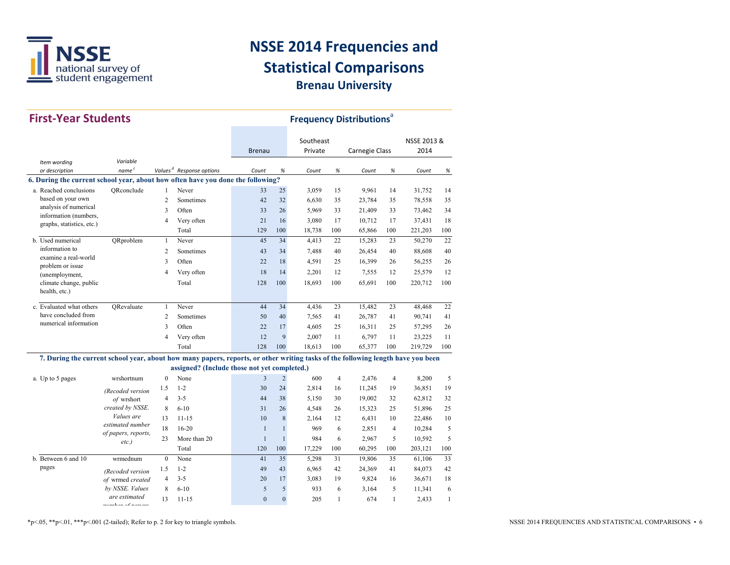

| <b>First-Year Students</b>                                                                                                      |                     |                |                                              |               |                |           | <b>Frequency Distributions<sup>ª</sup></b> |                |                |             |              |
|---------------------------------------------------------------------------------------------------------------------------------|---------------------|----------------|----------------------------------------------|---------------|----------------|-----------|--------------------------------------------|----------------|----------------|-------------|--------------|
|                                                                                                                                 |                     |                |                                              |               |                | Southeast |                                            |                |                | NSSE 2013 & |              |
|                                                                                                                                 |                     |                |                                              | <b>Brenau</b> |                | Private   |                                            | Carnegie Class |                | 2014        |              |
| Item wording                                                                                                                    | Variable            |                |                                              |               |                |           |                                            |                |                |             |              |
| or description                                                                                                                  | name <sup>c</sup>   |                | Values <sup>d</sup> Response options         | Count         | $\%$           | Count     | $\%$                                       | Count          | $\%$           | Count       | %            |
| 6. During the current school year, about how often have you done the following?                                                 |                     |                |                                              |               |                |           |                                            |                |                |             |              |
| a. Reached conclusions                                                                                                          | ORconclude          | $\mathbf{1}$   | Never                                        | 33            | 25             | 3,059     | 15                                         | 9,961          | 14             | 31,752      | 14           |
| based on your own                                                                                                               |                     | $\overline{c}$ | Sometimes                                    | 42            | 32             | 6,630     | 35                                         | 23,784         | 35             | 78,558      | 35           |
| analysis of numerical                                                                                                           |                     | 3              | Often                                        | 33            | 26             | 5,969     | 33                                         | 21,409         | 33             | 73,462      | 34           |
| information (numbers,<br>graphs, statistics, etc.)                                                                              |                     | 4              | Very often                                   | 21            | 16             | 3,080     | 17                                         | 10,712         | 17             | 37,431      | 18           |
|                                                                                                                                 |                     |                | Total                                        | 129           | 100            | 18,738    | 100                                        | 65,866         | 100            | 221,203     | 100          |
| b. Used numerical                                                                                                               | ORproblem           | $\mathbf{1}$   | Never                                        | 45            | 34             | 4,413     | 22                                         | 15,283         | 23             | 50,270      | 22           |
| information to                                                                                                                  |                     | 2              | Sometimes                                    | 43            | 34             | 7,488     | 40                                         | 26,454         | 40             | 88,608      | 40           |
| examine a real-world                                                                                                            |                     | 3              | Often                                        | 22            | 18             | 4,591     | 25                                         | 16,399         | 26             | 56,255      | 26           |
| problem or issue<br>(unemployment,                                                                                              |                     | 4              | Very often                                   | 18            | 14             | 2,201     | 12                                         | 7,555          | 12             | 25,579      | 12           |
| climate change, public                                                                                                          |                     |                | Total                                        | 128           | 100            | 18,693    | 100                                        | 65,691         | 100            | 220,712     | 100          |
| health, etc.)                                                                                                                   |                     |                |                                              |               |                |           |                                            |                |                |             |              |
| c. Evaluated what others                                                                                                        | ORevaluate          | $\mathbf{1}$   | Never                                        | 44            | 34             | 4,436     | 23                                         | 15,482         | 23             | 48,468      | 22           |
| have concluded from                                                                                                             |                     | 2              | Sometimes                                    | 50            | 40             | 7,565     | 41                                         | 26,787         | 41             | 90,741      | 41           |
| numerical information                                                                                                           |                     | 3              | Often                                        | 22            | 17             | 4,605     | 25                                         | 16,311         | 25             | 57,295      | 26           |
|                                                                                                                                 |                     | 4              | Very often                                   | 12            | 9              | 2,007     | 11                                         | 6,797          | 11             | 23,225      | 11           |
|                                                                                                                                 |                     |                | Total                                        | 128           | 100            | 18,613    | 100                                        | 65,377         | 100            | 219,729     | 100          |
| 7. During the current school year, about how many papers, reports, or other writing tasks of the following length have you been |                     |                |                                              |               |                |           |                                            |                |                |             |              |
|                                                                                                                                 |                     |                | assigned? (Include those not yet completed.) |               |                |           |                                            |                |                |             |              |
| a. Up to 5 pages                                                                                                                | wrshortnum          | $\mathbf{0}$   | None                                         | 3             | $\overline{c}$ | 600       | $\overline{4}$                             | 2,476          | $\overline{4}$ | 8,200       | 5            |
|                                                                                                                                 | (Recoded version    | 1.5            | $1 - 2$                                      | 30            | 24             | 2,814     | 16                                         | 11,245         | 19             | 36,851      | 19           |
|                                                                                                                                 | of wrshort          | 4              | $3 - 5$                                      | 44            | 38             | 5,150     | 30                                         | 19,002         | 32             | 62,812      | 32           |
|                                                                                                                                 | created by NSSE.    | 8              | $6 - 10$                                     | 31            | 26             | 4,548     | 26                                         | 15,323         | 25             | 51,896      | 25           |
|                                                                                                                                 | Values are          | 13             | $11 - 15$                                    | 10            | 8              | 2,164     | 12                                         | 6,431          | 10             | 22,486      | 10           |
|                                                                                                                                 | estimated number    | 18             | $16 - 20$                                    | $\mathbf{1}$  | $\mathbf{1}$   | 969       | 6                                          | 2,851          | $\overline{4}$ | 10,284      | 5            |
|                                                                                                                                 | of papers, reports, | 23             | More than 20                                 | $\mathbf{1}$  | $\mathbf{1}$   | 984       | 6                                          | 2,967          | 5              | 10,592      | 5            |
|                                                                                                                                 | $etc.$ )            |                | Total                                        | 120           | 100            | 17,229    | 100                                        | 60,295         | 100            | 203,121     | 100          |
| b. Between 6 and 10                                                                                                             | wrmednum            | $\mathbf{0}$   | None                                         | 41            | 35             | 5,298     | 31                                         | 19,806         | 35             | 61,106      | 33           |
| pages                                                                                                                           | (Recoded version    | 1.5            | $1 - 2$                                      | 49            | 43             | 6,965     | 42                                         | 24,369         | 41             | 84,073      | 42           |
|                                                                                                                                 | of wrmed created    | 4              | $3 - 5$                                      | 20            | 17             | 3,083     | 19                                         | 9,824          | 16             | 36,671      | 18           |
|                                                                                                                                 | by NSSE. Values     | 8              | $6 - 10$                                     | 5             | 5              | 933       | 6                                          | 3,164          | 5              | 11,341      | 6            |
|                                                                                                                                 | are estimated       | 13             | $11 - 15$                                    | $\theta$      | $\mathbf{0}$   | 205       | $\mathbf{1}$                               | 674            | $\mathbf{1}$   | 2,433       | $\mathbf{1}$ |
|                                                                                                                                 | unuhar af nanara    |                |                                              |               |                |           |                                            |                |                |             |              |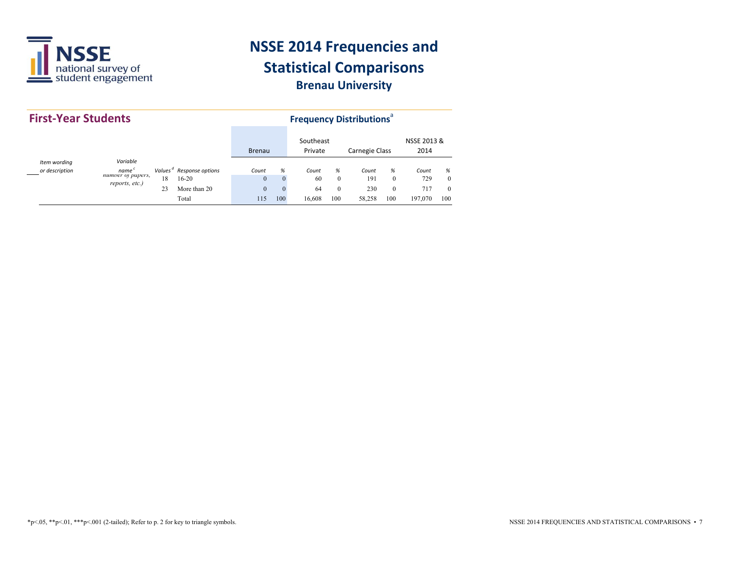

|                                | <b>First-Year Students</b>                              |          |                                                                          |                                              |                                  | <b>Frequency Distributions<sup>®</sup></b> |                                          |                               |                           |                                |                                  |  |  |  |
|--------------------------------|---------------------------------------------------------|----------|--------------------------------------------------------------------------|----------------------------------------------|----------------------------------|--------------------------------------------|------------------------------------------|-------------------------------|---------------------------|--------------------------------|----------------------------------|--|--|--|
|                                |                                                         |          |                                                                          | <b>Brenau</b>                                |                                  | Southeast<br>Private                       |                                          | Carnegie Class                |                           | NSSE 2013 &<br>2014            |                                  |  |  |  |
| Item wording<br>or description | Variable<br>name<br>numver of papers,<br>reports, etc.) | 18<br>23 | Values <sup>d</sup> Response options<br>$16-20$<br>More than 20<br>Total | Count<br>$\mathbf{0}$<br>$\mathbf{0}$<br>115 | %<br>$\theta$<br>$\theta$<br>100 | Count<br>60<br>64<br>16.608                | %<br>$\mathbf{0}$<br>$\mathbf{0}$<br>100 | Count<br>191<br>230<br>58.258 | %<br>$\Omega$<br>0<br>100 | Count<br>729<br>717<br>197.070 | %<br>$\theta$<br>$\theta$<br>100 |  |  |  |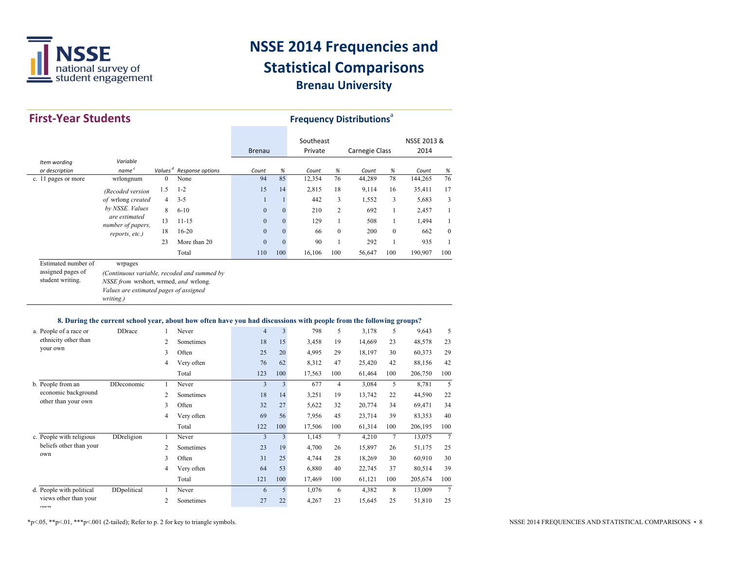

| <b>First-Year Students</b>            |                                                                                              |                            |                                                                                                                    |                |                  |                      | <b>Frequency Distributions</b> <sup>a</sup> |                 |                |                     |                |
|---------------------------------------|----------------------------------------------------------------------------------------------|----------------------------|--------------------------------------------------------------------------------------------------------------------|----------------|------------------|----------------------|---------------------------------------------|-----------------|----------------|---------------------|----------------|
|                                       |                                                                                              |                            |                                                                                                                    | <b>Brenau</b>  |                  | Southeast<br>Private |                                             | Carnegie Class  |                | NSSE 2013 &<br>2014 |                |
| Item wording                          | Variable<br>name $^c$                                                                        |                            |                                                                                                                    |                |                  |                      |                                             |                 |                |                     |                |
| or description<br>c. 11 pages or more | wrlongnum                                                                                    | Values $d$<br>$\mathbf{0}$ | Response options<br>None                                                                                           | Count<br>94    | %<br>85          | Count<br>12,354      | $\%$<br>76                                  | Count<br>44,289 | %<br>78        | Count<br>144,265    | $\%$<br>76     |
|                                       |                                                                                              | 1.5                        | $1 - 2$                                                                                                            | 15             | 14               | 2,815                | 18                                          | 9,114           | 16             | 35,411              | 17             |
|                                       | (Recoded version<br>of wrlong created                                                        | $\overline{4}$             | $3 - 5$                                                                                                            | $\mathbf{1}$   | $\mathbf{1}$     | 442                  | 3                                           | 1,552           | 3              | 5,683               | 3              |
|                                       | by NSSE. Values                                                                              | 8                          | $6 - 10$                                                                                                           | $\overline{0}$ | $\mathbf{0}$     | 210                  | $\overline{2}$                              | 692             | $\mathbf{1}$   | 2,457               | $\mathbf{1}$   |
|                                       | are estimated                                                                                | 13                         | $11 - 15$                                                                                                          | $\overline{0}$ | $\boldsymbol{0}$ | 129                  | $\mathbf{1}$                                | 508             | $\mathbf{1}$   | 1,494               | $\mathbf{1}$   |
|                                       | number of papers,                                                                            | 18                         | $16 - 20$                                                                                                          | $\overline{0}$ | $\mathbf{0}$     | 66                   | $\mathbf{0}$                                | 200             | $\mathbf{0}$   | 662                 | $\mathbf{0}$   |
|                                       | reports, etc.)                                                                               | 23                         | More than 20                                                                                                       | $\overline{0}$ | $\mathbf{0}$     | 90                   | $\mathbf{1}$                                | 292             | $\mathbf{1}$   | 935                 | $\mathbf{1}$   |
|                                       |                                                                                              |                            | Total                                                                                                              | 110            | 100              | 16,106               | 100                                         | 56,647          | 100            | 190,907             | 100            |
| Estimated number of                   | wrpages                                                                                      |                            |                                                                                                                    |                |                  |                      |                                             |                 |                |                     |                |
| student writing.                      | NSSE from wrshort, wrmed, and wrlong.<br>Values are estimated pages of assigned<br>writing.) |                            |                                                                                                                    |                |                  |                      |                                             |                 |                |                     |                |
|                                       |                                                                                              |                            | 8. During the current school year, about how often have you had discussions with people from the following groups? |                |                  |                      |                                             |                 |                |                     |                |
| a. People of a race or                | <b>DDrace</b>                                                                                | $\mathbf{1}$               | Never                                                                                                              | $\overline{4}$ | $\mathfrak{Z}$   | 798                  | 5                                           | 3,178           | 5              | 9,643               | 5              |
| ethnicity other than                  |                                                                                              | $\overline{c}$             | Sometimes                                                                                                          | 18             | 15               | 3,458                | 19                                          | 14,669          | 23             | 48,578              | 23             |
| your own                              |                                                                                              | 3                          | Often                                                                                                              | 25             | 20               | 4,995                | 29                                          | 18,197          | 30             | 60,373              | 29             |
|                                       |                                                                                              | $\overline{4}$             | Very often                                                                                                         | 76             | 62               | 8,312                | 47                                          | 25,420          | 42             | 88,156              | 42             |
|                                       |                                                                                              |                            | Total                                                                                                              | 123            | 100              | 17,563               | 100                                         | 61,464          | 100            | 206,750             | 100            |
| b. People from an                     | DDeconomic                                                                                   | $\mathbf{1}$               | Never                                                                                                              | $\overline{3}$ | $\overline{3}$   | 677                  | $\overline{4}$                              | 3,084           | 5              | 8,781               | 5              |
| economic background                   |                                                                                              | $\overline{c}$             | Sometimes                                                                                                          | 18             | 14               | 3,251                | 19                                          | 13,742          | 22             | 44,590              | 22             |
| other than your own                   |                                                                                              | 3                          | Often                                                                                                              | 32             | 27               | 5,622                | 32                                          | 20,774          | 34             | 69,471              | 34             |
|                                       |                                                                                              | $\overline{4}$             | Very often                                                                                                         | 69             | 56               | 7,956                | 45                                          | 23,714          | 39             | 83,353              | 40             |
|                                       |                                                                                              |                            | Total                                                                                                              | 122            | 100              | 17,506               | 100                                         | 61,314          | 100            | 206,195             | 100            |
| c. People with religious              | <b>DDreligion</b>                                                                            | $\mathbf{1}$               | Never                                                                                                              | 3              | $\overline{3}$   | 1,145                | $\overline{7}$                              | 4,210           | $\overline{7}$ | 13,075              | $\overline{7}$ |
| beliefs other than your               |                                                                                              | $\overline{c}$             | Sometimes                                                                                                          | 23             | 19               | 4,700                | 26                                          | 15,897          | 26             | 51,175              | 25             |
| own                                   |                                                                                              | 3                          | Often                                                                                                              | 31             | 25               | 4,744                | 28                                          | 18,269          | 30             | 60,910              | 30             |
|                                       |                                                                                              | $\overline{4}$             | Very often                                                                                                         | 64             | 53               | 6,880                | 40                                          | 22,745          | 37             | 80,514              | 39             |
|                                       |                                                                                              |                            | Total                                                                                                              | 121            | 100              | 17,469               | 100                                         | 61,121          | 100            | 205,674             | 100            |
| d. People with political              | DDpolitical                                                                                  | $\mathbf{1}$               | Never                                                                                                              | 6              | 5                | 1,076                | 6                                           | 4,382           | 8              | 13,009              | $\overline{7}$ |
| views other than your<br>$\alpha$     |                                                                                              | $\overline{c}$             | Sometimes                                                                                                          | 27             | 22               | 4,267                | 23                                          | 15,645          | 25             | 51,810              | 25             |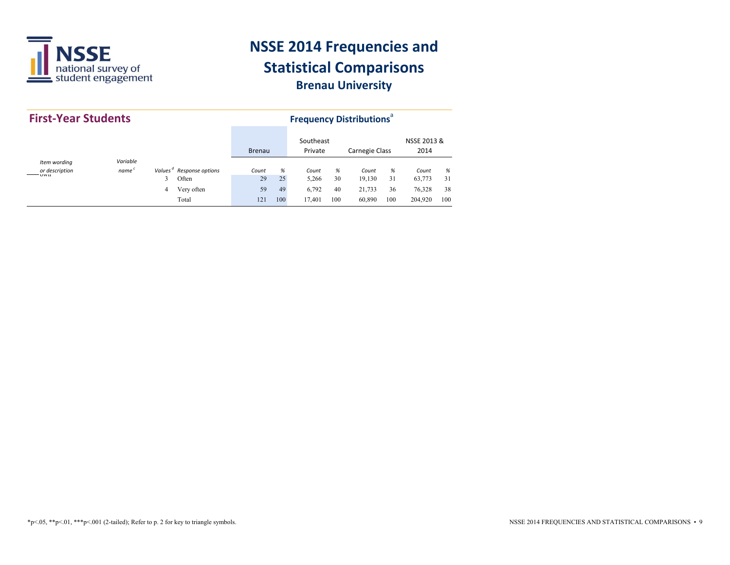

|                | <b>First-Year Students</b> |   |                                      |               |     |                      | <b>Frequency Distributions</b> <sup>ª</sup> |                |     |                     |     |  |  |  |  |
|----------------|----------------------------|---|--------------------------------------|---------------|-----|----------------------|---------------------------------------------|----------------|-----|---------------------|-----|--|--|--|--|
|                |                            |   |                                      | <b>Brenau</b> |     | Southeast<br>Private |                                             | Carnegie Class |     | NSSE 2013 &<br>2014 |     |  |  |  |  |
| Item wording   | Variable                   |   |                                      |               |     |                      |                                             |                |     |                     |     |  |  |  |  |
| or description | name <sup>c</sup>          |   | Values <sup>a</sup> Response options | Count         | %   | Count                | %                                           | Count          | %   | Count               | %   |  |  |  |  |
| <b>UWII</b>    |                            | 3 | Often                                | 29            | 25  | 5,266                | 30                                          | 19,130         | 31  | 63,773              | 31  |  |  |  |  |
|                |                            | 4 | Very often                           | 59            | 49  | 6,792                | 40                                          | 21,733         | 36  | 76,328              | 38  |  |  |  |  |
|                |                            |   | Total                                | 121           | 100 | 17.401               | 100                                         | 60,890         | 100 | 204,920             | 100 |  |  |  |  |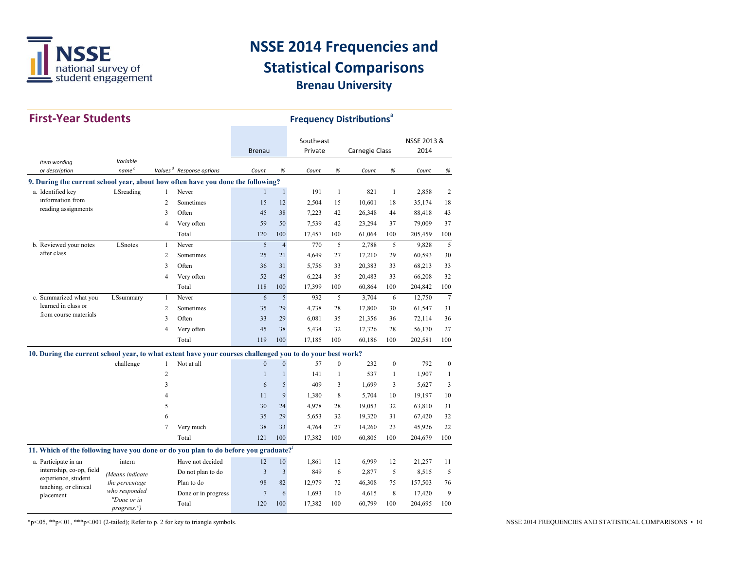

| <b>First-Year Students</b>                                                                                |                            |                | <b>Frequency Distributions</b> <sup>a</sup> |                |                |           |                |                |              |             |                |
|-----------------------------------------------------------------------------------------------------------|----------------------------|----------------|---------------------------------------------|----------------|----------------|-----------|----------------|----------------|--------------|-------------|----------------|
|                                                                                                           |                            |                |                                             |                |                | Southeast |                |                |              | NSSE 2013 & |                |
|                                                                                                           |                            |                |                                             | <b>Brenau</b>  |                | Private   |                | Carnegie Class |              | 2014        |                |
| Item wording                                                                                              | Variable                   |                |                                             |                |                |           |                |                |              |             |                |
| or description                                                                                            | name <sup>c</sup>          |                | Values <sup>d</sup> Response options        | Count          | %              | Count     | %              | Count          | %            | Count       | $\%$           |
| 9. During the current school year, about how often have you done the following?                           |                            |                |                                             |                |                |           |                |                |              |             |                |
| a. Identified key                                                                                         | LSreading                  | 1              | Never                                       | 1              | $\mathbf{1}$   | 191       | $\mathbf{1}$   | 821            | 1            | 2,858       | 2              |
| information from                                                                                          |                            | $\overline{c}$ | Sometimes                                   | 15             | 12             | 2,504     | 15             | 10.601         | 18           | 35,174      | 18             |
| reading assignments                                                                                       |                            | 3              | Often                                       | 45             | 38             | 7,223     | 42             | 26,348         | 44           | 88,418      | 43             |
|                                                                                                           |                            | $\overline{4}$ | Very often                                  | 59             | 50             | 7,539     | 42             | 23,294         | 37           | 79.009      | 37             |
|                                                                                                           |                            |                | Total                                       | 120            | 100            | 17,457    | 100            | 61,064         | 100          | 205,459     | 100            |
| b. Reviewed your notes                                                                                    | LSnotes                    | $\mathbf{1}$   | Never                                       | 5              | $\overline{4}$ | 770       | 5              | 2,788          | 5            | 9,828       | 5              |
| after class                                                                                               |                            | $\overline{c}$ | Sometimes                                   | 25             | 21             | 4,649     | 27             | 17,210         | 29           | 60,593      | 30             |
|                                                                                                           |                            | 3              | Often                                       | 36             | 31             | 5,756     | 33             | 20,383         | 33           | 68,213      | 33             |
|                                                                                                           |                            | $\overline{4}$ | Very often                                  | 52             | 45             | 6,224     | 35             | 20,483         | 33           | 66,208      | 32             |
|                                                                                                           |                            |                | Total                                       | 118            | 100            | 17,399    | 100            | 60,864         | 100          | 204,842     | 100            |
| c. Summarized what you                                                                                    | LSsummary                  | $\mathbf{1}$   | Never                                       | 6              | 5              | 932       | 5              | 3,704          | 6            | 12,750      | $\overline{7}$ |
| learned in class or<br>from course materials                                                              |                            | $\overline{2}$ | Sometimes                                   | 35             | 29             | 4,738     | 28             | 17,800         | 30           | 61,547      | 31             |
|                                                                                                           |                            | 3              | Often                                       | 33             | 29             | 6,081     | 35             | 21,356         | 36           | 72,114      | 36             |
|                                                                                                           |                            | $\overline{4}$ | Very often                                  | 45             | 38             | 5,434     | 32             | 17,326         | 28           | 56,170      | 27             |
|                                                                                                           |                            |                | Total                                       | 119            | 100            | 17,185    | 100            | 60,186         | 100          | 202,581     | 100            |
| 10. During the current school year, to what extent have your courses challenged you to do your best work? |                            |                |                                             |                |                |           |                |                |              |             |                |
|                                                                                                           | challenge                  | $\mathbf{1}$   | Not at all                                  | $\mathbf{0}$   | $\mathbf{0}$   | 57        | $\overline{0}$ | 232            | $\mathbf{0}$ | 792         | $\mathbf{0}$   |
|                                                                                                           |                            | $\overline{2}$ |                                             | $\mathbf{1}$   | $\mathbf{1}$   | 141       | $\mathbf{1}$   | 537            | $\mathbf{1}$ | 1,907       | $\mathbf{1}$   |
|                                                                                                           |                            | 3              |                                             | 6              | 5              | 409       | 3              | 1.699          | 3            | 5,627       | 3              |
|                                                                                                           |                            | 4              |                                             | 11             | 9              | 1,380     | 8              | 5,704          | 10           | 19,197      | 10             |
|                                                                                                           |                            | 5              |                                             | 30             | 24             | 4,978     | 28             | 19,053         | 32           | 63,810      | 31             |
|                                                                                                           |                            | 6              |                                             | 35             | 29             | 5,653     | 32             | 19,320         | 31           | 67,420      | 32             |
|                                                                                                           |                            | $\tau$         | Very much                                   | 38             | 33             | 4,764     | 27             | 14,260         | 23           | 45,926      | 22             |
|                                                                                                           |                            |                | Total                                       | 121            | 100            | 17,382    | 100            | 60,805         | 100          | 204,679     | 100            |
| 11. Which of the following have you done or do you plan to do before you graduate? <sup>f</sup>           |                            |                |                                             |                |                |           |                |                |              |             |                |
| a. Participate in an                                                                                      | intern                     |                | Have not decided                            | 12             | 10             | 1,861     | 12             | 6,999          | 12           | 21,257      | 11             |
| internship, co-op, field                                                                                  | (Means indicate            |                | Do not plan to do                           | $\overline{3}$ | $\overline{3}$ | 849       | 6              | 2,877          | 5            | 8,515       | 5              |
| experience, student                                                                                       | the percentage             |                | Plan to do                                  | 98             | 82             | 12,979    | 72             | 46,308         | 75           | 157,503     | 76             |
| teaching, or clinical<br>placement                                                                        | who responded              |                | Done or in progress                         | $\overline{7}$ | 6              | 1,693     | 10             | 4,615          | 8            | 17,420      | 9              |
|                                                                                                           | "Done or in<br>progress.") |                | Total                                       | 120            | 100            | 17,382    | 100            | 60,799         | 100          | 204,695     | 100            |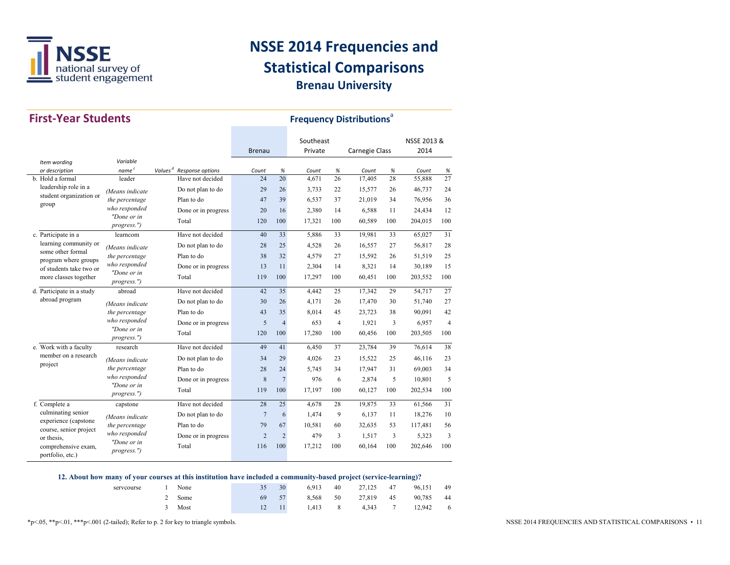

| <b>First-Year Students</b>                      |                            |                     | <b>Frequency Distributions<sup>a</sup></b> |                |                |                      |     |                |     |                     |                |
|-------------------------------------------------|----------------------------|---------------------|--------------------------------------------|----------------|----------------|----------------------|-----|----------------|-----|---------------------|----------------|
|                                                 |                            |                     |                                            | <b>Brenau</b>  |                | Southeast<br>Private |     | Carnegie Class |     | NSSE 2013 &<br>2014 |                |
| Item wording                                    | Variable                   |                     |                                            |                |                |                      |     |                |     |                     |                |
| or description                                  | name $^c$                  | Values <sup>d</sup> | Response options                           | Count          | %              | Count                | %   | Count          | %   | Count               | %              |
| b. Hold a formal                                | leader                     |                     | Have not decided                           | 24             | 20             | 4,671                | 26  | 17,405         | 28  | 55,888              | 27             |
| leadership role in a                            | (Means indicate            |                     | Do not plan to do                          | 29             | 26             | 3,733                | 22  | 15,577         | 26  | 46,737              | 24             |
| student organization or<br>group                | the percentage             |                     | Plan to do                                 | 47             | 39             | 6,537                | 37  | 21,019         | 34  | 76,956              | 36             |
|                                                 | who responded              |                     | Done or in progress                        | 20             | 16             | 2,380                | 14  | 6,588          | 11  | 24,434              | 12             |
|                                                 | "Done or in<br>progress.") |                     | Total                                      | 120            | 100            | 17,321               | 100 | 60,589         | 100 | 204,015             | 100            |
| c. Participate in a                             | learncom                   |                     | Have not decided                           | 40             | 33             | 5,886                | 33  | 19,981         | 33  | 65,027              | 31             |
| learning community or                           | (Means indicate            |                     | Do not plan to do                          | 28             | 25             | 4,528                | 26  | 16,557         | 27  | 56,817              | 28             |
| some other formal                               | the percentage             |                     | Plan to do                                 | 38             | 32             | 4,579                | 27  | 15,592         | 26  | 51,519              | 25             |
| program where groups<br>of students take two or | who responded              |                     | Done or in progress                        | 13             | 11             | 2,304                | 14  | 8,321          | 14  | 30,189              | 15             |
| more classes together                           | "Done or in<br>progress.") |                     | Total                                      | 119            | 100            | 17,297               | 100 | 60,451         | 100 | 203,552             | 100            |
| d. Participate in a study                       | abroad                     |                     | Have not decided                           | 42             | 35             | 4.442                | 25  | 17,342         | 29  | 54,717              | 27             |
| abroad program                                  | (Means indicate            |                     | Do not plan to do                          | 30             | 26             | 4.171                | 26  | 17,470         | 30  | 51,740              | 27             |
|                                                 | the percentage             |                     | Plan to do                                 | 43             | 35             | 8,014                | 45  | 23,723         | 38  | 90,091              | 42             |
|                                                 | who responded              |                     | Done or in progress                        | 5              | $\overline{4}$ | 653                  | 4   | 1,921          | 3   | 6,957               | $\overline{4}$ |
|                                                 | "Done or in<br>progress.") |                     | Total                                      | 120            | 100            | 17,280               | 100 | 60,456         | 100 | 203,505             | 100            |
| e. Work with a faculty                          | research                   |                     | Have not decided                           | 49             | 41             | 6,450                | 37  | 23,784         | 39  | 76,614              | 38             |
| member on a research                            | (Means indicate            |                     | Do not plan to do                          | 34             | 29             | 4,026                | 23  | 15,522         | 25  | 46,116              | 23             |
| project                                         | the percentage             |                     | Plan to do                                 | 28             | 24             | 5,745                | 34  | 17,947         | 31  | 69,003              | 34             |
|                                                 | who responded              |                     | Done or in progress                        | 8              | $\overline{7}$ | 976                  | 6   | 2,874          | 5   | 10,801              | 5              |
|                                                 | "Done or in<br>progress.") |                     | Total                                      | 119            | 100            | 17,197               | 100 | 60,127         | 100 | 202,534             | 100            |
| f. Complete a                                   | capstone                   |                     | Have not decided                           | 28             | 25             | 4.678                | 28  | 19,875         | 33  | 61,566              | 31             |
| culminating senior                              | (Means indicate            |                     | Do not plan to do                          | $\overline{7}$ | 6              | 1,474                | 9   | 6,137          | 11  | 18,276              | 10             |
| experience (capstone<br>course, senior project  | the percentage             |                     | Plan to do                                 | 79             | 67             | 10,581               | 60  | 32,635         | 53  | 117,481             | 56             |
| or thesis.                                      | who responded              |                     | Done or in progress                        | $\overline{2}$ | $\overline{2}$ | 479                  | 3   | 1,517          | 3   | 5,323               | 3              |
| comprehensive exam,<br>portfolio, etc.)         | "Done or in<br>progress.") |                     | Total                                      | 116            | 100            | 17,212               | 100 | 60,164         | 100 | 202,646             | 100            |

#### 12. About how many of your courses at this institution have included a community-based project (service-learning)?

| serveourse | None |    | 30 | 6.913 | 40             | 27.125 47 |         | 96.151    | 49             |
|------------|------|----|----|-------|----------------|-----------|---------|-----------|----------------|
|            | Some | 69 | 57 | 8.568 | 50             | 27,819 45 |         | 90,785 44 |                |
|            | Most |    | 11 | 1.413 | 8 <sup>8</sup> |           | 4.343 7 | 12.942    | $\overline{6}$ |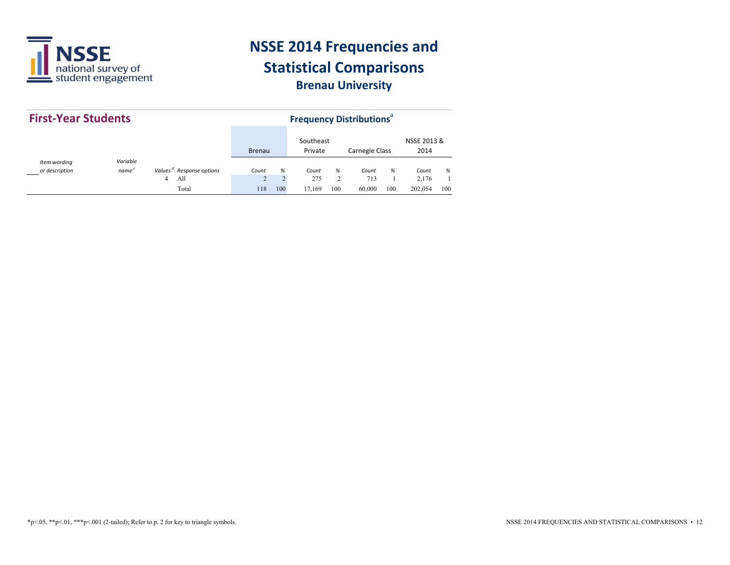

| <b>First-Year Students</b>     |                               |                                      |               |     | <b>Frequency Distributions<sup>®</sup></b> |          |                       |     |                     |     |
|--------------------------------|-------------------------------|--------------------------------------|---------------|-----|--------------------------------------------|----------|-----------------------|-----|---------------------|-----|
|                                |                               |                                      | <b>Brenau</b> |     | Southeast<br>Private                       |          | <b>Carnegie Class</b> |     | NSSE 2013 &<br>2014 |     |
| Item wording<br>or description | Variable<br>name <sup>c</sup> | Values <sup>d</sup> Response options | Count         | %   | Count                                      | %        | Count                 | %   | Count               | %   |
|                                |                               | All<br>4<br>Total                    | 118           | 100 | 275<br>17.169                              | 2<br>100 | 713<br>60,000         | 100 | 2.176<br>202.054    | 100 |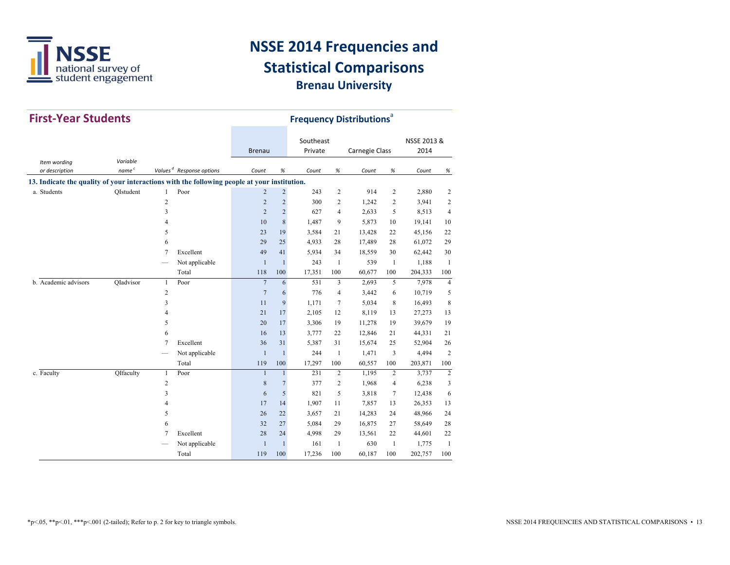

| <b>First-Year Students</b>                                                                   |              |                |                                      | <b>Frequency Distributions<sup>a</sup></b> |                |                      |                |                       |                |                     |                |
|----------------------------------------------------------------------------------------------|--------------|----------------|--------------------------------------|--------------------------------------------|----------------|----------------------|----------------|-----------------------|----------------|---------------------|----------------|
|                                                                                              |              |                |                                      | <b>Brenau</b>                              |                | Southeast<br>Private |                | <b>Carnegie Class</b> |                | NSSE 2013 &<br>2014 |                |
| Item wording                                                                                 | Variable     |                |                                      |                                            |                |                      |                |                       |                |                     |                |
| or description                                                                               | $name\ ^{c}$ |                | Values <sup>d</sup> Response options | Count                                      | $\%$           | Count                | $\%$           | Count                 | $\%$           | Count               | %              |
| 13. Indicate the quality of your interactions with the following people at your institution. |              |                |                                      |                                            |                |                      |                |                       |                |                     |                |
| a. Students                                                                                  | OIstudent    | $\mathbf{1}$   | Poor                                 | $\overline{c}$                             | $\overline{c}$ | 243                  | $\overline{c}$ | 914                   | $\overline{c}$ | 2,880               | 2              |
|                                                                                              |              | $\sqrt{2}$     |                                      | $\overline{2}$                             | $\overline{c}$ | 300                  | 2              | 1,242                 | 2              | 3,941               | 2              |
|                                                                                              |              | 3              |                                      | $\overline{2}$                             | $\overline{c}$ | 627                  | $\overline{4}$ | 2,633                 | 5              | 8,513               | $\overline{4}$ |
|                                                                                              |              | 4              |                                      | 10                                         | $\,$ 8 $\,$    | 1,487                | 9              | 5,873                 | 10             | 19,141              | 10             |
|                                                                                              |              | 5              |                                      | 23                                         | 19             | 3,584                | 21             | 13,428                | 22             | 45,156              | 22             |
|                                                                                              |              | 6              |                                      | 29                                         | 25             | 4,933                | 28             | 17,489                | 28             | 61,072              | 29             |
|                                                                                              |              | $\overline{7}$ | Excellent                            | 49                                         | 41             | 5,934                | 34             | 18,559                | 30             | 62,442              | 30             |
|                                                                                              |              |                | Not applicable                       | $\mathbf{1}$                               | $\mathbf{1}$   | 243                  | $\mathbf{1}$   | 539                   | $\overline{1}$ | 1,188               | $\mathbf{1}$   |
|                                                                                              |              |                | Total                                | 118                                        | 100            | 17,351               | 100            | 60,677                | 100            | 204,333             | 100            |
| b. Academic advisors                                                                         | QIadvisor    | $\mathbf{1}$   | Poor                                 | $\overline{7}$                             | 6              | 531                  | 3              | 2,693                 | 5              | 7,978               | $\overline{4}$ |
|                                                                                              |              | $\overline{2}$ |                                      | $\overline{7}$                             | 6              | 776                  | 4              | 3,442                 | 6              | 10,719              | 5              |
|                                                                                              |              | 3              |                                      | 11                                         | 9              | 1,171                | $\overline{7}$ | 5,034                 | 8              | 16,493              | 8              |
|                                                                                              |              | 4              |                                      | 21                                         | 17             | 2,105                | 12             | 8,119                 | 13             | 27,273              | 13             |
|                                                                                              |              | 5              |                                      | 20                                         | 17             | 3,306                | 19             | 11,278                | 19             | 39,679              | 19             |
|                                                                                              |              | 6              |                                      | 16                                         | 13             | 3,777                | 22             | 12,846                | 21             | 44,331              | 21             |
|                                                                                              |              | 7              | Excellent                            | 36                                         | 31             | 5,387                | 31             | 15,674                | 25             | 52,904              | 26             |
|                                                                                              |              |                | Not applicable                       | $\mathbf{1}$                               | $\mathbf{1}$   | 244                  | $\mathbf{1}$   | 1,471                 | 3              | 4,494               | $\overline{c}$ |
|                                                                                              |              |                | Total                                | 119                                        | 100            | 17,297               | 100            | 60,557                | 100            | 203,871             | 100            |
| c. Faculty                                                                                   | QIfaculty    | $\mathbf{1}$   | Poor                                 | $\mathbf{1}$                               | $\mathbf{1}$   | 231                  | $\overline{c}$ | 1,195                 | $\overline{c}$ | 3,737               | $\overline{c}$ |
|                                                                                              |              | $\sqrt{2}$     |                                      | $\,$ 8 $\,$                                | $\overline{7}$ | 377                  | 2              | 1,968                 | 4              | 6,238               | 3              |
|                                                                                              |              | 3              |                                      | 6                                          | 5              | 821                  | 5              | 3,818                 | $\overline{7}$ | 12,438              | 6              |
|                                                                                              |              | 4              |                                      | 17                                         | 14             | 1,907                | 11             | 7,857                 | 13             | 26,353              | 13             |
|                                                                                              |              | 5              |                                      | 26                                         | 22             | 3,657                | 21             | 14,283                | 24             | 48,966              | 24             |
|                                                                                              |              | 6              |                                      | 32                                         | 27             | 5,084                | 29             | 16,875                | 27             | 58,649              | 28             |
|                                                                                              |              | 7              | Excellent                            | 28                                         | 24             | 4,998                | 29             | 13,561                | 22             | 44,601              | 22             |
|                                                                                              |              |                | Not applicable                       | $\mathbf{1}$                               | $\mathbf{1}$   | 161                  | 1              | 630                   | $\overline{1}$ | 1,775               | $\mathbf{1}$   |
|                                                                                              |              |                | Total                                | 119                                        | 100            | 17,236               | 100            | 60,187                | 100            | 202,757             | 100            |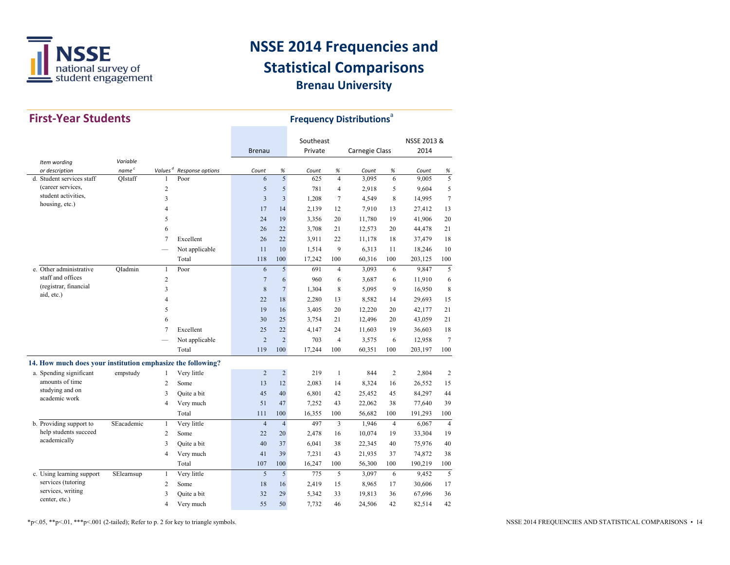

| <b>First-Year Students</b>                                  |                   |                     |                  |                         | <b>Frequency Distributions</b> <sup>a</sup> |                      |                |                |                |                     |                 |    |        |    |
|-------------------------------------------------------------|-------------------|---------------------|------------------|-------------------------|---------------------------------------------|----------------------|----------------|----------------|----------------|---------------------|-----------------|----|--------|----|
|                                                             |                   |                     |                  | <b>Brenau</b>           |                                             | Southeast<br>Private |                | Carnegie Class |                | NSSE 2013 &<br>2014 |                 |    |        |    |
| Item wording                                                | Variable          |                     |                  |                         |                                             |                      |                |                |                |                     |                 |    |        |    |
| or description                                              | name <sup>c</sup> | Values <sup>d</sup> | Response options | Count                   | $\%$                                        | Count                | $\%$           | Count          | $\%$           | Count               | %               |    |        |    |
| d. Student services staff                                   | OIstaff           | $\mathbf{1}$        | Poor             | 6                       | 5                                           | 625                  | $\overline{4}$ | 3.095          | 6              | 9.005               | 5               |    |        |    |
| (career services,                                           |                   | $\overline{c}$      |                  | 5                       | 5                                           | 781                  | $\overline{4}$ | 2,918          | 5              | 9,604               | 5               |    |        |    |
| student activities.<br>housing, etc.)                       |                   | 3                   |                  | $\overline{\mathbf{3}}$ | 3                                           | 1,208                | $\tau$         | 4,549          | 8              | 14,995              | $\tau$          |    |        |    |
|                                                             |                   | 4                   |                  | 17                      | 14                                          | 2,139                | 12             | 7,910          | 13             | 27,412              | 13              |    |        |    |
|                                                             |                   | 5                   |                  | 24                      | 19                                          | 3,356                | 20             | 11,780         | 19             | 41,906              | 20              |    |        |    |
|                                                             |                   | 6                   |                  | 26                      | 22                                          | 3,708                | 21             | 12,573         | 20             | 44,478              | 21              |    |        |    |
|                                                             |                   | $\overline{7}$      | Excellent        | 26                      | 22                                          | 3,911                | 22             | 11,178         | 18             | 37,479              | 18              |    |        |    |
|                                                             |                   |                     | Not applicable   | 11                      | 10                                          | 1,514                | 9              | 6,313          | 11             | 18,246              | 10              |    |        |    |
|                                                             |                   |                     | Total            | 118                     | 100                                         | 17,242               | 100            | 60,316         | 100            | 203,125             | 100             |    |        |    |
| e. Other administrative                                     | OIadmin           | $\mathbf{1}$        | Poor             | 6                       | 5                                           | 691                  | $\overline{4}$ | 3,093          | 6              | 9,847               | 5               |    |        |    |
| staff and offices                                           |                   | $\overline{c}$      |                  | $\overline{7}$          | 6                                           | 960                  | 6              | 3,687          | 6              | 11,910              | 6               |    |        |    |
| (registrar, financial                                       |                   | 3                   |                  | 8                       | $\overline{7}$                              | 1,304                | 8              | 5,095          | 9              | 16,950              | 8               |    |        |    |
| aid, etc.)                                                  |                   | 4                   |                  | 22                      | 18                                          | 2,280                | 13             | 8,582          | 14             | 29,693              | 15              |    |        |    |
|                                                             |                   | 5                   |                  | 19                      | 16                                          | 3,405                | 20             | 12,220         | 20             | 42,177              | 21              |    |        |    |
|                                                             |                   | 6                   |                  | 30                      | 25                                          | 3,754                | 21             | 12,496         | 20             | 43,059              | 21              |    |        |    |
|                                                             |                   |                     |                  |                         | $\overline{7}$                              | Excellent            | 25             | 22             | 4,147          | 24                  | 11,603          | 19 | 36,603 | 18 |
|                                                             |                   |                     | Not applicable   | $\overline{2}$          | $\overline{2}$                              | 703                  | $\overline{4}$ | 3,575          | 6              | 12,958              | $7\phantom{.0}$ |    |        |    |
|                                                             |                   |                     | Total            | 119                     | 100                                         | 17,244               | 100            | 60,351         | 100            | 203,197             | 100             |    |        |    |
| 14. How much does your institution emphasize the following? |                   |                     |                  |                         |                                             |                      |                |                |                |                     |                 |    |        |    |
| a. Spending significant                                     | empstudy          | $\mathbf{1}$        | Very little      | $\overline{c}$          | $\sqrt{2}$                                  | 219                  | $\mathbf{1}$   | 844            | $\overline{2}$ | 2,804               | $\sqrt{2}$      |    |        |    |
| amounts of time                                             |                   | $\overline{c}$      | Some             | 13                      | 12                                          | 2,083                | 14             | 8,324          | 16             | 26,552              | 15              |    |        |    |
| studying and on                                             |                   | 3                   | Quite a bit      | 45                      | 40                                          | 6,801                | 42             | 25,452         | 45             | 84,297              | 44              |    |        |    |
| academic work                                               |                   | 4                   | Very much        | 51                      | 47                                          | 7,252                | 43             | 22,062         | 38             | 77,640              | 39              |    |        |    |
|                                                             |                   |                     | Total            | 111                     | 100                                         | 16,355               | 100            | 56,682         | 100            | 191,293             | 100             |    |        |    |
| b. Providing support to                                     | SEacademic        | $\mathbf{1}$        | Very little      | $\overline{4}$          | $\overline{4}$                              | 497                  | 3              | 1,946          | $\overline{4}$ | 6,067               | $\overline{4}$  |    |        |    |
| help students succeed                                       |                   | $\overline{c}$      | Some             | 22                      | 20                                          | 2,478                | 16             | 10,074         | 19             | 33,304              | 19              |    |        |    |
| academically                                                |                   | 3                   | Quite a bit      | 40                      | 37                                          | 6,041                | 38             | 22,345         | 40             | 75,976              | 40              |    |        |    |
|                                                             |                   | 4                   | Very much        | 41                      | 39                                          | 7,231                | 43             | 21,935         | 37             | 74,872              | 38              |    |        |    |
|                                                             |                   |                     | Total            | 107                     | 100                                         | 16,247               | 100            | 56,300         | 100            | 190,219             | 100             |    |        |    |
| c. Using learning support                                   | SElearnsup        | $\mathbf{1}$        | Very little      | 5                       | 5                                           | 775                  | 5              | 3,097          | 6              | 9,452               | 5               |    |        |    |
| services (tutoring                                          |                   | $\overline{c}$      | Some             | 18                      | 16                                          | 2,419                | 15             | 8,965          | 17             | 30,606              | 17              |    |        |    |
| services, writing                                           |                   | 3                   | Quite a bit      | 32                      | 29                                          | 5,342                | 33             | 19,813         | 36             | 67,696              | 36              |    |        |    |
| center, etc.)                                               |                   | 4                   | Very much        | 55                      | 50                                          | 7,732                | 46             | 24,506         | 42             | 82,514              | 42              |    |        |    |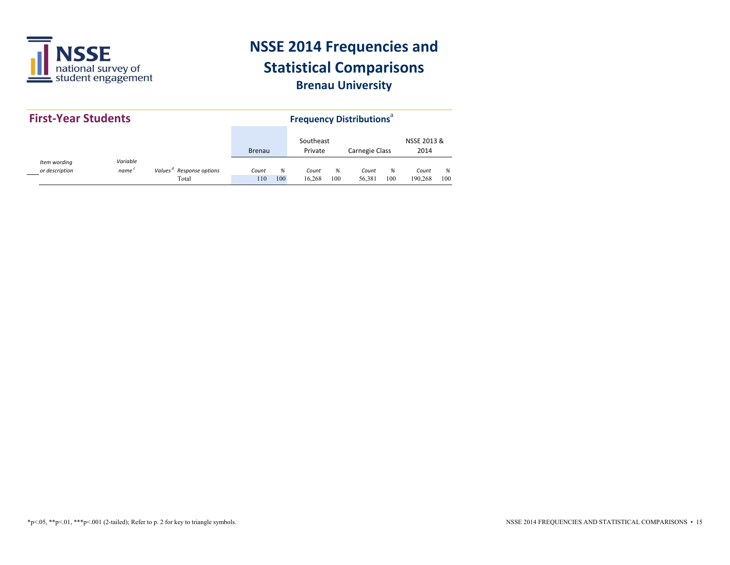

| <b>First-Year Students</b>     |                               |                                         |                      |     | <b>Frequency Distributions</b> <sup>a</sup> |     |                     |     |         |     |
|--------------------------------|-------------------------------|-----------------------------------------|----------------------|-----|---------------------------------------------|-----|---------------------|-----|---------|-----|
|                                | <b>Brenau</b>                 |                                         | Southeast<br>Private |     | <b>Carnegie Class</b>                       |     | NSSE 2013 &<br>2014 |     |         |     |
| Item wording<br>or description | Variable<br>name <sup>c</sup> | Response options<br>Values <sup>a</sup> | Count                | %   | Count                                       | %   | Count               | %   | Count   | %   |
|                                |                               | Total                                   | 110                  | 100 | 16.268                                      | 100 | 56.381              | 100 | 190.268 | 100 |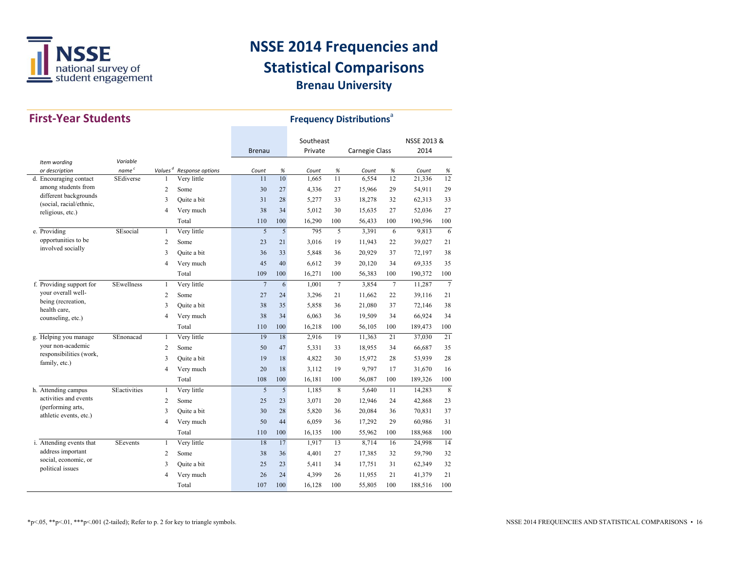

| <b>First-Year Students</b>                    |                     |                |                                      |                |     | <b>Frequency Distributions<sup>ª</sup></b> |                |                       |                 |             |                |
|-----------------------------------------------|---------------------|----------------|--------------------------------------|----------------|-----|--------------------------------------------|----------------|-----------------------|-----------------|-------------|----------------|
|                                               |                     |                |                                      |                |     | Southeast                                  |                |                       |                 | NSSE 2013 & |                |
|                                               |                     |                |                                      | <b>Brenau</b>  |     | Private                                    |                | <b>Carnegie Class</b> |                 | 2014        |                |
| Item wording                                  | Variable            |                |                                      |                |     |                                            |                |                       |                 |             |                |
| or description                                | name <sup>c</sup>   |                | Values <sup>d</sup> Response options | Count          | %   | Count                                      | %              | Count                 | %               | Count       | %              |
| d. Encouraging contact<br>among students from | SEdiverse           | 1              | Very little                          | 11             | 10  | 1.665                                      | 11             | 6,554                 | 12              | 21,336      | 12             |
| different backgrounds                         |                     | $\overline{c}$ | Some                                 | 30             | 27  | 4,336                                      | 27             | 15,966                | 29              | 54,911      | 29             |
| (social, racial/ethnic,                       |                     | 3              | Ouite a bit                          | 31             | 28  | 5,277                                      | 33             | 18,278                | 32              | 62,313      | 33             |
| religious, etc.)                              |                     | $\overline{4}$ | Very much                            | 38             | 34  | 5,012                                      | 30             | 15,635                | 27              | 52,036      | 27             |
|                                               |                     |                | Total                                | 110            | 100 | 16,290                                     | 100            | 56,433                | 100             | 190,596     | 100            |
| e. Providing                                  | SEsocial            | $\mathbf{1}$   | Very little                          | 5              | 5   | 795                                        | 5              | 3,391                 | 6               | 9,813       | 6              |
| opportunities to be<br>involved socially      |                     | $\overline{c}$ | Some                                 | 23             | 21  | 3,016                                      | 19             | 11,943                | 22              | 39,027      | 21             |
|                                               |                     | 3              | Ouite a bit                          | 36             | 33  | 5,848                                      | 36             | 20,929                | 37              | 72,197      | 38             |
|                                               |                     | $\overline{4}$ | Very much                            | 45             | 40  | 6,612                                      | 39             | 20,120                | 34              | 69,335      | 35             |
|                                               |                     |                | Total                                | 109            | 100 | 16,271                                     | 100            | 56,383                | 100             | 190,372     | 100            |
| f. Providing support for                      | <b>SEwellness</b>   | $\mathbf{1}$   | Very little                          | $\overline{7}$ | 6   | 1,001                                      | $\overline{7}$ | 3,854                 | $7\phantom{.0}$ | 11,287      | $\overline{7}$ |
| vour overall well-                            |                     | $\overline{c}$ | Some                                 | 27             | 24  | 3,296                                      | 21             | 11,662                | 22              | 39,116      | 21             |
| being (recreation,<br>health care,            |                     | 3              | Quite a bit                          | 38             | 35  | 5,858                                      | 36             | 21,080                | 37              | 72,146      | 38             |
| counseling, etc.)                             |                     | $\overline{4}$ | Very much                            | 38             | 34  | 6,063                                      | 36             | 19,509                | 34              | 66,924      | 34             |
|                                               |                     |                | Total                                | 110            | 100 | 16,218                                     | 100            | 56,105                | 100             | 189,473     | 100            |
| g. Helping you manage                         | SEnonacad           | $\mathbf{1}$   | Very little                          | 19             | 18  | 2,916                                      | 19             | 11,363                | 21              | 37,030      | 21             |
| your non-academic                             |                     | 2              | Some                                 | 50             | 47  | 5,331                                      | 33             | 18,955                | 34              | 66,687      | 35             |
| responsibilities (work,<br>family, etc.)      |                     | 3              | Quite a bit                          | 19             | 18  | 4,822                                      | 30             | 15,972                | 28              | 53,939      | 28             |
|                                               |                     | $\overline{4}$ | Very much                            | 20             | 18  | 3,112                                      | 19             | 9,797                 | 17              | 31,670      | 16             |
|                                               |                     |                | Total                                | 108            | 100 | 16,181                                     | 100            | 56,087                | 100             | 189,326     | 100            |
| h. Attending campus                           | <b>SEactivities</b> | $\mathbf{1}$   | Very little                          | 5              | 5   | 1,185                                      | 8              | 5,640                 | 11              | 14,283      | 8              |
| activities and events                         |                     | $\overline{c}$ | Some                                 | 25             | 23  | 3,071                                      | 20             | 12,946                | 24              | 42,868      | 23             |
| (performing arts,<br>athletic events, etc.)   |                     | 3              | Quite a bit                          | 30             | 28  | 5,820                                      | 36             | 20,084                | 36              | 70,831      | 37             |
|                                               |                     | $\overline{4}$ | Very much                            | 50             | 44  | 6,059                                      | 36             | 17,292                | 29              | 60,986      | 31             |
|                                               |                     |                | Total                                | 110            | 100 | 16,135                                     | 100            | 55,962                | 100             | 188,968     | 100            |
| i. Attending events that                      | <b>SEevents</b>     | $\mathbf{1}$   | Very little                          | 18             | 17  | 1,917                                      | 13             | 8,714                 | 16              | 24,998      | 14             |
| address important                             |                     | 2              | Some                                 | 38             | 36  | 4,401                                      | 27             | 17,385                | 32              | 59,790      | 32             |
| social, economic, or<br>political issues      |                     | 3              | Quite a bit                          | 25             | 23  | 5,411                                      | 34             | 17,751                | 31              | 62,349      | 32             |
|                                               |                     | $\overline{4}$ | Very much                            | 26             | 24  | 4,399                                      | 26             | 11,955                | 21              | 41,379      | 21             |
|                                               |                     |                | Total                                | 107            | 100 | 16,128                                     | 100            | 55,805                | 100             | 188,516     | 100            |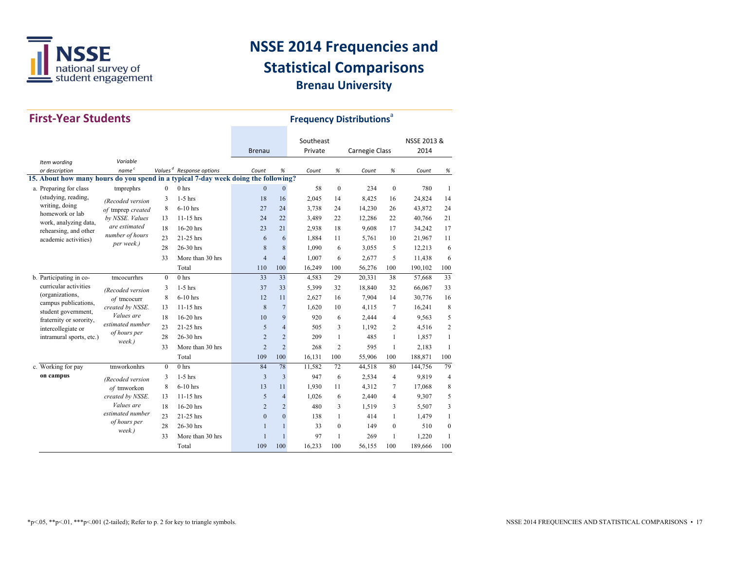

| <b>First-Year Students</b>                                                         |                                 |              |                                      |                |                | <b>Frequency Distributions</b> <sup>a</sup> |                  |                |              |                     |                |  |
|------------------------------------------------------------------------------------|---------------------------------|--------------|--------------------------------------|----------------|----------------|---------------------------------------------|------------------|----------------|--------------|---------------------|----------------|--|
|                                                                                    |                                 |              |                                      | <b>Brenau</b>  |                | Southeast<br>Private                        |                  | Carnegie Class |              | NSSE 2013 &<br>2014 |                |  |
| Item wording                                                                       | Variable                        |              |                                      |                |                |                                             |                  |                |              |                     |                |  |
| or description                                                                     | $name\ ^{c}$                    |              | Values <sup>d</sup> Response options | Count          | $\%$           | Count                                       | $\%$             | Count          | $\%$         | Count               | %              |  |
| 15. About how many hours do you spend in a typical 7-day week doing the following? |                                 |              |                                      |                |                |                                             |                  |                |              |                     |                |  |
| a. Preparing for class                                                             | tmprephrs                       | $\mathbf{0}$ | 0 <sub>hrs</sub>                     | $\Omega$       | $\mathbf{0}$   | 58                                          | $\mathbf{0}$     | 234            | $\theta$     | 780                 | 1              |  |
| (studying, reading,                                                                | (Recoded version                | 3            | $1-5$ hrs                            | 18             | 16             | 2,045                                       | 14               | 8,425          | 16           | 24,824              | 14             |  |
| writing, doing<br>homework or lab                                                  | of tmprep created               | 8            | $6-10$ hrs                           | 27             | 24             | 3,738                                       | 24               | 14,230         | 26           | 43,872              | 24             |  |
| work, analyzing data,                                                              | by NSSE. Values                 | 13           | 11-15 hrs                            | 24             | 22             | 3.489                                       | 22               | 12,286         | 22           | 40,766              | 21             |  |
| rehearsing, and other                                                              | are estimated                   | 18           | 16-20 hrs                            | 23             | 21             | 2,938                                       | 18               | 9,608          | 17           | 34,242              | 17             |  |
| academic activities)                                                               | number of hours                 | 23           | 21-25 hrs                            | 6              | 6              | 1.884                                       | 11               | 5,761          | 10           | 21,967              | 11             |  |
|                                                                                    | per week.)                      | 28           | $26-30$ hrs                          | 8              | 8              | 1,090                                       | 6                | 3,055          | 5            | 12,213              | 6              |  |
|                                                                                    |                                 | 33           | More than 30 hrs                     | $\overline{4}$ | $\overline{4}$ | 1,007                                       | 6                | 2,677          | 5            | 11,438              | 6              |  |
|                                                                                    |                                 |              | Total                                | 110            | 100            | 16,249                                      | 100              | 56,276         | 100          | 190,102             | 100            |  |
| b. Participating in co-                                                            | tmcocurrhrs                     | $\mathbf{0}$ | 0 <sub>hrs</sub>                     | 33             | 33             | 4,583                                       | 29               | 20,331         | 38           | 57,668              | 33             |  |
| curricular activities                                                              | (Recoded version<br>of tmcocurr | 3            | $1-5$ hrs                            | 37             | 33             | 5,399                                       | 32               | 18,840         | 32           | 66,067              | 33             |  |
| (organizations,                                                                    |                                 | 8            | $6-10$ hrs                           | 12             | 11             | 2.627                                       | 16               | 7,904          | 14           | 30,776              | 16             |  |
| campus publications,                                                               | created by NSSE.                | 13           | $11-15$ hrs                          | 8              | $\overline{7}$ | 1,620                                       | 10               | 4,115          | 7            | 16,241              | 8              |  |
| student government,<br>fraternity or sorority,                                     | Values are                      | 18           | 16-20 hrs                            | 10             | 9              | 920                                         | 6                | 2,444          | 4            | 9,563               | 5              |  |
| intercollegiate or                                                                 | estimated number                | 23           | 21-25 hrs                            | 5              | $\overline{4}$ | 505                                         | 3                | 1.192          | 2            | 4.516               | $\overline{2}$ |  |
| intramural sports, etc.)                                                           | of hours per                    | 28           | 26-30 hrs                            | $\overline{2}$ | $\overline{2}$ | 209                                         | $\mathbf{1}$     | 485            | 1            | 1,857               | $\mathbf{1}$   |  |
|                                                                                    | week.)                          | 33           | More than 30 hrs                     | $\overline{2}$ | $\sqrt{2}$     | 268                                         | $\overline{c}$   | 595            | 1            | 2,183               | $\mathbf{1}$   |  |
|                                                                                    |                                 |              | Total                                | 109            | 100            | 16,131                                      | 100              | 55,906         | 100          | 188,871             | 100            |  |
| c. Working for pay                                                                 | tmworkonhrs                     | $\mathbf{0}$ | 0 <sub>hrs</sub>                     | 84             | 78             | 11,582                                      | 72               | 44,518         | 80           | 144,756             | 79             |  |
| on campus                                                                          | (Recoded version                | 3            | $1-5$ hrs                            | $\overline{3}$ | $\overline{3}$ | 947                                         | 6                | 2.534          | 4            | 9.819               | $\overline{4}$ |  |
|                                                                                    | of tmworkon                     | 8            | $6-10$ hrs                           | 13             | 11             | 1,930                                       | 11               | 4,312          | 7            | 17,068              | 8              |  |
|                                                                                    | created by NSSE.                | 13           | $11-15$ hrs                          | 5              | $\overline{4}$ | 1,026                                       | 6                | 2,440          | 4            | 9,307               | 5              |  |
|                                                                                    | <i>Values are</i>               | 18           | $16-20$ hrs                          | $\overline{2}$ | 2              | 480                                         | 3                | 1,519          | 3            | 5,507               | 3              |  |
|                                                                                    | estimated number                | 23           | 21-25 hrs                            | $\Omega$       | $\Omega$       | 138                                         | $\mathbf{1}$     | 414            | $\mathbf{1}$ | 1,479               | $\mathbf{1}$   |  |
|                                                                                    | of hours per                    | 28           | 26-30 hrs                            | $\mathbf{1}$   | $\mathbf{1}$   | 33                                          | $\boldsymbol{0}$ | 149            | $\mathbf{0}$ | 510                 | $\mathbf{0}$   |  |
|                                                                                    | week.)                          | 33           | More than 30 hrs                     | $\mathbf{1}$   | $\mathbf{1}$   | 97                                          | $\mathbf{1}$     | 269            | 1            | 1,220               | $\mathbf{1}$   |  |
|                                                                                    |                                 |              | Total                                | 109            | 100            | 16,233                                      | 100              | 56,155         | 100          | 189.666             | 100            |  |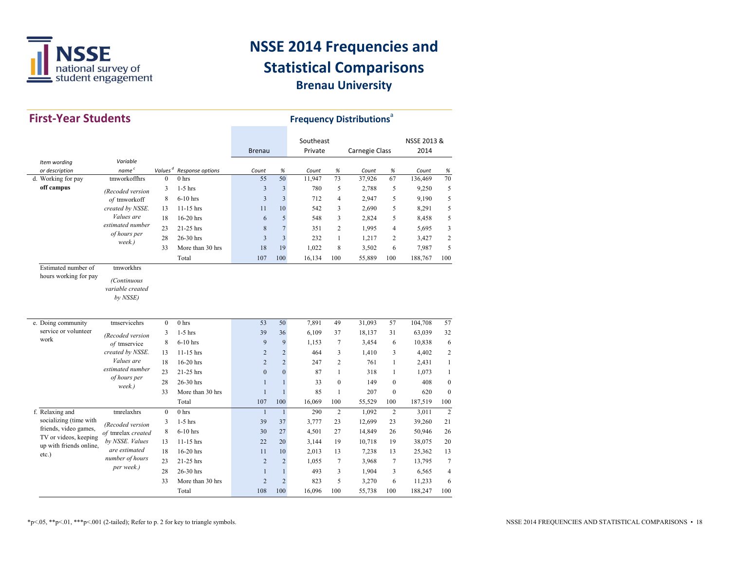

| <b>First-Year Students</b>          |                                             |                        | <b>Frequency Distributions<sup>®</sup></b> |                |                         |                 |                 |                |                |                  |                  |
|-------------------------------------|---------------------------------------------|------------------------|--------------------------------------------|----------------|-------------------------|-----------------|-----------------|----------------|----------------|------------------|------------------|
|                                     |                                             |                        |                                            |                |                         | Southeast       |                 |                |                | NSSE 2013 &      |                  |
|                                     |                                             |                        |                                            | <b>Brenau</b>  |                         | Private         |                 | Carnegie Class |                | 2014             |                  |
| Item wording                        | Variable                                    |                        |                                            |                |                         |                 |                 |                |                |                  |                  |
| or description                      | name <sup>c</sup><br>tmworkoffhrs           | Values $d$<br>$\theta$ | Response options<br>0 <sub>hrs</sub>       | Count<br>55    | $\%$<br>50              | Count<br>11,947 | $\%$<br>73      | Count          | $\%$<br>67     | Count<br>136.469 | %<br>70          |
| d. Working for pay<br>off campus    |                                             |                        |                                            |                |                         |                 |                 | 37,926         |                |                  |                  |
|                                     | (Recoded version                            | 3                      | $1-5$ hrs                                  | 3              | $\overline{\mathbf{3}}$ | 780             | 5               | 2,788          | 5              | 9,250            | 5                |
|                                     | of tmworkoff                                | 8                      | $6-10$ hrs                                 | 3              | $\overline{3}$          | 712             | $\overline{4}$  | 2,947          | 5              | 9,190            | 5                |
|                                     | created by NSSE.<br>Values are              | 13                     | $11-15$ hrs                                | 11             | 10                      | 542             | 3               | 2,690          | 5              | 8,291            | 5                |
|                                     | estimated number                            | 18                     | $16-20$ hrs                                | 6              | 5                       | 548             | 3               | 2,824          | 5              | 8,458            | 5                |
|                                     | of hours per                                | 23                     | 21-25 hrs                                  | 8              | $\overline{7}$          | 351             | $\overline{2}$  | 1,995          | $\overline{4}$ | 5,695            | 3                |
|                                     | week.)                                      | 28                     | 26-30 hrs                                  | 3              | $\overline{3}$          | 232             | $\mathbf{1}$    | 1,217          | $\overline{c}$ | 3,427            | $\overline{2}$   |
|                                     |                                             | 33                     | More than 30 hrs                           | 18             | 19                      | 1,022           | 8               | 3,502          | 6              | 7,987            | 5                |
| Estimated number of                 | tmworkhrs                                   |                        | Total                                      | 107            | 100                     | 16,134          | 100             | 55,889         | 100            | 188,767          | 100              |
| hours working for pay               | (Continuous<br>variable created<br>by NSSE) |                        |                                            |                |                         |                 |                 |                |                |                  |                  |
| e. Doing community                  | tmservicehrs                                | $\mathbf{0}$           | 0 <sub>hrs</sub>                           | 53             | 50                      | 7,891           | 49              | 31,093         | 57             | 104,708          | 57               |
| service or volunteer                | (Recoded version                            | 3                      | $1-5$ hrs                                  | 39             | 36                      | 6,109           | 37              | 18,137         | 31             | 63,039           | 32               |
| work                                | of tmservice                                | 8                      | $6-10$ hrs                                 | $\mathbf{Q}$   | 9                       | 1,153           | $\overline{7}$  | 3,454          | 6              | 10,838           | 6                |
|                                     | created by NSSE.                            | 13                     | $11-15$ hrs                                | $\overline{2}$ | $\overline{2}$          | 464             | 3               | 1,410          | 3              | 4,402            | $\overline{2}$   |
|                                     | Values are                                  | 18                     | 16-20 hrs                                  | $\overline{2}$ | $\overline{2}$          | 247             | $\overline{2}$  | 761            | $\mathbf{1}$   | 2,431            | $\mathbf{1}$     |
|                                     | estimated number                            | 23                     | 21-25 hrs                                  | $\mathbf{0}$   | $\mathbf{0}$            | 87              | $\mathbf{1}$    | 318            | 1              | 1,073            | $\mathbf{1}$     |
|                                     | of hours per<br>week.)                      | 28                     | 26-30 hrs                                  | $\mathbf{1}$   | $\mathbf{1}$            | 33              | $\mathbf{0}$    | 149            | $\mathbf{0}$   | 408              | $\boldsymbol{0}$ |
|                                     |                                             | 33                     | More than 30 hrs                           | $\mathbf{1}$   | $\mathbf{1}$            | 85              | $\mathbf{1}$    | 207            | $\mathbf{0}$   | 620              | $\mathbf{0}$     |
|                                     |                                             |                        | Total                                      | 107            | 100                     | 16,069          | 100             | 55,529         | 100            | 187,519          | 100              |
| f. Relaxing and                     | tmrelaxhrs                                  | $\theta$               | 0 <sub>hrs</sub>                           | $\mathbf{1}$   | $\mathbf{1}$            | 290             | $\overline{2}$  | 1.092          | $\overline{2}$ | 3,011            | $\overline{2}$   |
| socializing (time with              | (Recoded version                            | 3                      | $1-5$ hrs                                  | 39             | 37                      | 3,777           | 23              | 12,699         | 23             | 39,260           | 21               |
| friends, video games,               | of tmrelax created                          | 8                      | $6-10$ hrs                                 | 30             | 27                      | 4,501           | 27              | 14,849         | 26             | 50,946           | 26               |
| TV or videos, keeping               | by NSSE. Values                             | 13                     | $11-15$ hrs                                | 22             | 20                      | 3,144           | 19              | 10,718         | 19             | 38,075           | 20               |
| up with friends online,<br>$etc.$ ) | are estimated                               | 18                     | 16-20 hrs                                  | 11             | 10                      | 2,013           | 13              | 7,238          | 13             | 25,362           | 13               |
|                                     | number of hours                             | 23                     | 21-25 hrs                                  | $\overline{2}$ | $\overline{2}$          | 1,055           | $7\phantom{.0}$ | 3,968          | $\overline{7}$ | 13,795           | $\overline{7}$   |
|                                     | per week.)                                  | 28                     | 26-30 hrs                                  | $\mathbf{1}$   | $\mathbf{1}$            | 493             | 3               | 1,904          | 3              | 6,565            | $\overline{4}$   |
|                                     |                                             | 33                     | More than 30 hrs                           | $\overline{2}$ | $\overline{2}$          | 823             | 5               | 3,270          | 6              | 11,233           | 6                |
|                                     |                                             |                        | Total                                      | 108            | 100                     | 16,096          | 100             | 55,738         | 100            | 188,247          | 100              |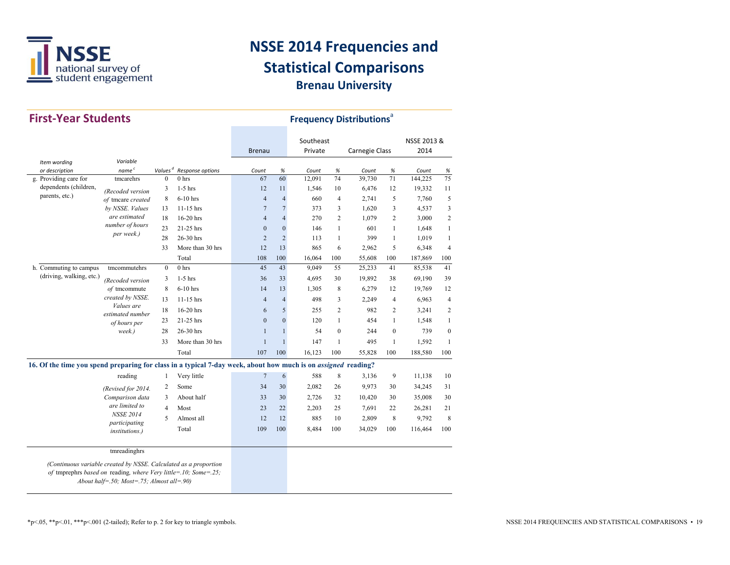

| <b>First-Year Students</b>                                                                                                                                                                       |                                                          |                | <b>Frequency Distributions</b> <sup>a</sup> |                  |                  |                      |                  |                |                |                     |                  |
|--------------------------------------------------------------------------------------------------------------------------------------------------------------------------------------------------|----------------------------------------------------------|----------------|---------------------------------------------|------------------|------------------|----------------------|------------------|----------------|----------------|---------------------|------------------|
|                                                                                                                                                                                                  |                                                          |                |                                             | <b>Brenau</b>    |                  | Southeast<br>Private |                  | Carnegie Class |                | NSSE 2013 &<br>2014 |                  |
| Item wording                                                                                                                                                                                     | Variable                                                 |                |                                             |                  |                  |                      |                  |                |                |                     |                  |
| or description                                                                                                                                                                                   | name <sup>c</sup>                                        | $Values^d$     | Response options                            | Count            | $\%$             | Count                | $\%$             | Count          | $\%$           | Count               | %                |
| g. Providing care for                                                                                                                                                                            | tmcarehrs                                                | $\Omega$       | 0 <sub>hrs</sub>                            | 67               | 60               | 12,091               | 74               | 39.730         | 71             | 144,225             | 75               |
| dependents (children,                                                                                                                                                                            | (Recoded version                                         | 3              | $1-5$ hrs                                   | 12               | 11               | 1,546                | 10               | 6,476          | 12             | 19,332              | 11               |
| parents, etc.)                                                                                                                                                                                   | of tmcare created                                        | 8              | 6-10 hrs                                    | $\overline{4}$   | $\overline{4}$   | 660                  | $\overline{4}$   | 2,741          | 5              | 7,760               | 5                |
|                                                                                                                                                                                                  | by NSSE. Values                                          | 13             | $11-15$ hrs                                 | $\overline{7}$   | $\overline{7}$   | 373                  | 3                | 1,620          | 3              | 4,537               | 3                |
|                                                                                                                                                                                                  | are estimated                                            | 18             | 16-20 hrs                                   | $\overline{4}$   | $\overline{4}$   | 270                  | $\overline{c}$   | 1,079          | $\overline{c}$ | 3,000               | $\overline{2}$   |
|                                                                                                                                                                                                  | number of hours                                          | 23             | 21-25 hrs                                   | $\boldsymbol{0}$ | $\boldsymbol{0}$ | 146                  | $\mathbf{1}$     | 601            | $\mathbf{1}$   | 1,648               | $\mathbf{1}$     |
|                                                                                                                                                                                                  | per week.)                                               | 28             | 26-30 hrs                                   | $\overline{2}$   | $\overline{c}$   | 113                  | $\mathbf{1}$     | 399            | $\mathbf{1}$   | 1,019               | $\mathbf{1}$     |
|                                                                                                                                                                                                  |                                                          | 33             | More than 30 hrs                            | 12               | 13               | 865                  | 6                | 2,962          | 5              | 6,348               | $\overline{4}$   |
|                                                                                                                                                                                                  |                                                          |                | Total                                       | 108              | 100              | 16.064               | 100              | 55,608         | 100            | 187,869             | 100              |
| h. Commuting to campus                                                                                                                                                                           | tmcommutehrs                                             | $\mathbf{0}$   | 0 <sub>hrs</sub>                            | 45               | 43               | 9,049                | 55               | 25,233         | 41             | 85,538              | 41               |
| (driving, walking, etc.)                                                                                                                                                                         | (Recoded version                                         | 3              | $1-5$ hrs                                   | 36               | 33               | 4.695                | 30               | 19,892         | 38             | 69,190              | 39               |
|                                                                                                                                                                                                  | of tmcommute                                             | 8              | $6-10$ hrs                                  | 14               | 13               | 1,305                | 8                | 6,279          | 12             | 19,769              | 12               |
|                                                                                                                                                                                                  | created by NSSE.                                         | 13             | $11-15$ hrs                                 | $\overline{4}$   | $\overline{4}$   | 498                  | 3                | 2,249          | $\overline{4}$ | 6,963               | $\overline{4}$   |
|                                                                                                                                                                                                  | Values are<br>estimated number<br>of hours per<br>week.) | 18             | 16-20 hrs                                   | 6                | 5                | 255                  | $\overline{c}$   | 982            | $\overline{2}$ | 3,241               | $\overline{2}$   |
|                                                                                                                                                                                                  |                                                          | 23             | $21-25$ hrs                                 | $\theta$         | $\mathbf{0}$     | 120                  | $\mathbf{1}$     | 454            | $\mathbf{1}$   | 1,548               | $\mathbf{1}$     |
|                                                                                                                                                                                                  |                                                          | 28             | 26-30 hrs                                   | $\mathbf{1}$     | $\mathbf{1}$     | 54                   | $\boldsymbol{0}$ | 244            | $\mathbf{0}$   | 739                 | $\boldsymbol{0}$ |
|                                                                                                                                                                                                  |                                                          | 33             | More than 30 hrs                            | $\mathbf{1}$     | $\mathbf{1}$     | 147                  | $\mathbf{1}$     | 495            | $\mathbf{1}$   | 1,592               | $\mathbf{1}$     |
|                                                                                                                                                                                                  |                                                          |                | Total                                       | 107              | 100              | 16,123               | 100              | 55,828         | 100            | 188,580             | 100              |
|                                                                                                                                                                                                  |                                                          |                |                                             |                  |                  |                      |                  |                |                |                     |                  |
| 16. Of the time you spend preparing for class in a typical 7-day week, about how much is on <i>assigned</i> reading?                                                                             |                                                          |                |                                             |                  |                  |                      |                  |                |                |                     |                  |
|                                                                                                                                                                                                  | reading                                                  | $\mathbf{1}$   | Very little                                 | $\overline{7}$   | $\sqrt{6}$       | 588                  | $\,$ 8 $\,$      | 3,136          | 9              | 11,138              | 10               |
|                                                                                                                                                                                                  | (Revised for 2014.                                       | $\overline{2}$ | Some                                        | 34               | 30               | 2,082                | 26               | 9,973          | 30             | 34,245              | 31               |
|                                                                                                                                                                                                  | Comparison data                                          | 3              | About half                                  | 33               | 30               | 2,726                | 32               | 10,420         | 30             | 35,008              | 30               |
|                                                                                                                                                                                                  | are limited to                                           | $\overline{4}$ | Most                                        | 23               | 22               | 2,203                | 25               | 7,691          | 22             | 26,281              | 21               |
|                                                                                                                                                                                                  | <b>NSSE 2014</b>                                         | 5              | Almost all                                  | 12               | 12               | 885                  | 10               | 2,809          | 8              | 9,792               | 8                |
|                                                                                                                                                                                                  | participating                                            |                | Total                                       | 109              | 100              | 8,484                | 100              | 34,029         | 100            | 116,464             | 100              |
|                                                                                                                                                                                                  | <i>institutions.)</i>                                    |                |                                             |                  |                  |                      |                  |                |                |                     |                  |
|                                                                                                                                                                                                  |                                                          |                |                                             |                  |                  |                      |                  |                |                |                     |                  |
| tmreadinghrs<br>(Continuous variable created by NSSE. Calculated as a proportion<br>of tmprephrs based on reading, where Very little=.10; Some=.25;<br>About half=.50; Most=.75; Almost all=.90) |                                                          |                |                                             |                  |                  |                      |                  |                |                |                     |                  |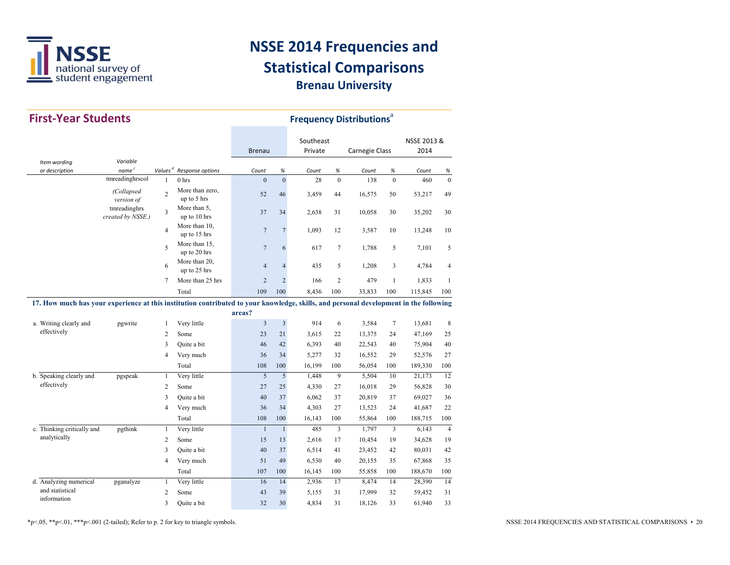

| <b>First-Year Students</b>                                                                                                            |                                   |                |                                |                | <b>Frequency Distributions</b> <sup>a</sup> |           |                |                |                |             |                |
|---------------------------------------------------------------------------------------------------------------------------------------|-----------------------------------|----------------|--------------------------------|----------------|---------------------------------------------|-----------|----------------|----------------|----------------|-------------|----------------|
|                                                                                                                                       |                                   |                |                                |                |                                             | Southeast |                |                |                | NSSE 2013 & |                |
|                                                                                                                                       |                                   |                |                                | <b>Brenau</b>  |                                             | Private   |                | Carnegie Class |                | 2014        |                |
| Item wording<br>or description                                                                                                        | Variable<br>name <sup>c</sup>     | Values $d$     | Response options               | Count          | %                                           | Count     | %              | Count          | %              | Count       | $\%$           |
|                                                                                                                                       | tmreadinghrscol                   | $\mathbf{1}$   | 0 <sub>hrs</sub>               | $\overline{0}$ | $\overline{0}$                              | 28        | $\theta$       | 138            | $\mathbf{0}$   | 460         | $\mathbf{0}$   |
|                                                                                                                                       | (Collapsed<br>version of          | $\overline{c}$ | More than zero,<br>up to 5 hrs | 52             | 46                                          | 3,459     | 44             | 16,575         | 50             | 53,217      | 49             |
|                                                                                                                                       | tmreadinghrs<br>created by NSSE.) | 3              | More than 5,<br>up to 10 hrs   | 37             | 34                                          | 2,638     | 31             | 10,058         | 30             | 35,202      | 30             |
|                                                                                                                                       |                                   | 4              | More than 10,<br>up to 15 hrs  | $\overline{7}$ | $\overline{7}$                              | 1,093     | 12             | 3,587          | 10             | 13,248      | 10             |
|                                                                                                                                       |                                   | 5              | More than 15,<br>up to 20 hrs  | $\overline{7}$ | 6                                           | 617       | $\overline{7}$ | 1,788          | 5              | 7,101       | 5              |
|                                                                                                                                       |                                   | 6              | More than 20,<br>up to 25 hrs  | $\overline{4}$ | $\overline{4}$                              | 435       | 5              | 1,208          | 3              | 4,784       | 4              |
|                                                                                                                                       |                                   | 7              | More than 25 hrs               | $\overline{2}$ | $\overline{2}$                              | 166       | $\overline{2}$ | 479            | $\mathbf{1}$   | 1,833       | 1              |
|                                                                                                                                       |                                   |                | Total                          | 109            | 100                                         | 8,436     | 100            | 33,833         | 100            | 115,845     | 100            |
| 17. How much has your experience at this institution contributed to your knowledge, skills, and personal development in the following |                                   |                |                                |                |                                             |           |                |                |                |             |                |
|                                                                                                                                       |                                   |                |                                | areas?         |                                             |           |                |                |                |             |                |
| a. Writing clearly and                                                                                                                | pgwrite                           | 1              | Very little                    | 3              | $\overline{\mathbf{3}}$                     | 914       | 6              | 3,584          | $\overline{7}$ | 13,681      | 8              |
| effectively                                                                                                                           |                                   | $\overline{c}$ | Some                           | 23             | 21                                          | 3,615     | 22             | 13,375         | 24             | 47,169      | 25             |
|                                                                                                                                       |                                   | 3              | Quite a bit                    | 46             | 42                                          | 6,393     | 40             | 22,543         | 40             | 75,904      | 40             |
|                                                                                                                                       |                                   | 4              | Very much                      | 36             | 34                                          | 5,277     | 32             | 16,552         | 29             | 52,576      | 27             |
|                                                                                                                                       |                                   |                | Total                          | 108            | 100                                         | 16,199    | 100            | 56,054         | 100            | 189,330     | 100            |
| b. Speaking clearly and                                                                                                               | pgspeak                           | 1              | Very little                    | 5              | 5                                           | 1,448     | 9              | 5,504          | 10             | 21,173      | 12             |
| effectively                                                                                                                           |                                   | $\overline{c}$ | Some                           | 27             | 25                                          | 4,330     | 27             | 16,018         | 29             | 56,828      | 30             |
|                                                                                                                                       |                                   | 3              | Quite a bit                    | 40             | 37                                          | 6,062     | 37             | 20,819         | 37             | 69,027      | 36             |
|                                                                                                                                       |                                   | 4              | Very much                      | 36             | 34                                          | 4,303     | 27             | 13,523         | 24             | 41,687      | 22             |
|                                                                                                                                       |                                   |                | Total                          | 108            | 100                                         | 16,143    | 100            | 55,864         | 100            | 188,715     | 100            |
| c. Thinking critically and                                                                                                            | pgthink                           | $\mathbf{1}$   | Very little                    | $\mathbf{1}$   | $\mathbf{1}$                                | 485       | 3              | 1,797          | 3              | 6,143       | $\overline{4}$ |
| analytically                                                                                                                          |                                   | $\overline{c}$ | Some                           | 15             | 13                                          | 2,616     | 17             | 10,454         | 19             | 34,628      | 19             |
|                                                                                                                                       |                                   | 3              | Quite a bit                    | 40             | 37                                          | 6,514     | 41             | 23,452         | 42             | 80,031      | 42             |
|                                                                                                                                       |                                   | 4              | Very much                      | 51             | 49                                          | 6,530     | 40             | 20,155         | 35             | 67,868      | 35             |
|                                                                                                                                       |                                   |                | Total                          | 107            | 100                                         | 16,145    | 100            | 55,858         | 100            | 188,670     | 100            |
| d. Analyzing numerical                                                                                                                | pganalyze                         | $\mathbf{1}$   | Very little                    | 16             | 14                                          | 2,936     | 17             | 8,474          | 14             | 28,390      | 14             |
| and statistical                                                                                                                       |                                   | $\overline{c}$ | Some                           | 43             | 39                                          | 5,155     | 31             | 17,999         | 32             | 59,452      | 31             |
| information                                                                                                                           |                                   | 3              | Quite a bit                    | 32             | 30                                          | 4,834     | 31             | 18,126         | 33             | 61,940      | 33             |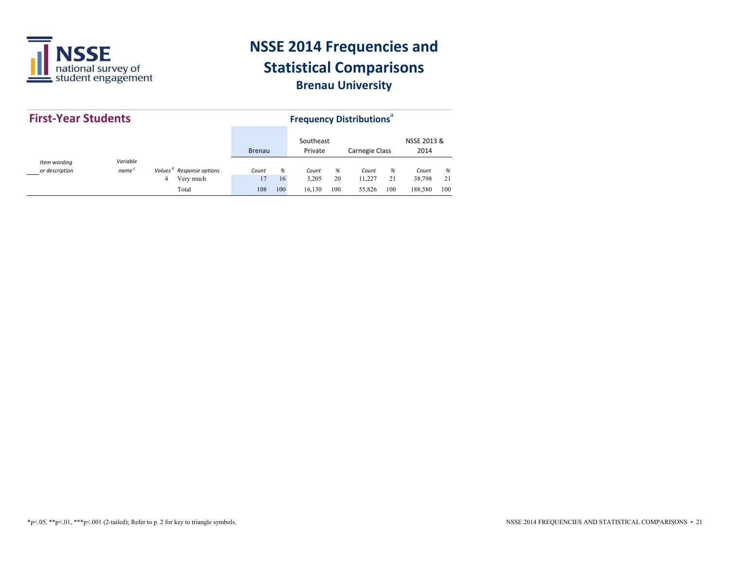

| <b>First-Year Students</b>     |                               |                                                                 |               |                | <b>Frequency Distributions</b> <sup>ª</sup> |                |                           |                |                            |                |
|--------------------------------|-------------------------------|-----------------------------------------------------------------|---------------|----------------|---------------------------------------------|----------------|---------------------------|----------------|----------------------------|----------------|
|                                |                               |                                                                 | <b>Brenau</b> |                | Southeast<br>Private                        |                | <b>Carnegie Class</b>     |                | NSSE 2013 &<br>2014        |                |
| Item wording<br>or description | Variable<br>name <sup>c</sup> | Values <sup>"</sup> Response options<br>Very much<br>4<br>Total | Count<br>108  | %<br>16<br>100 | Count<br>3,205<br>16,130                    | %<br>20<br>100 | Count<br>11.227<br>55,826 | %<br>21<br>100 | Count<br>38,798<br>188,580 | %<br>21<br>100 |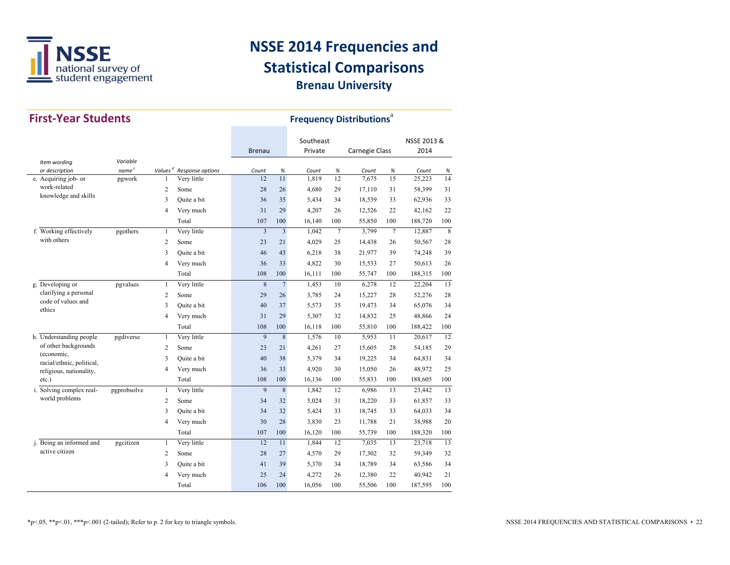

| <b>First-Year Students</b>                            |                   |                |                                      |                |                | <b>Frequency Distributions<sup>®</sup></b> |                |                       |                 |             |     |
|-------------------------------------------------------|-------------------|----------------|--------------------------------------|----------------|----------------|--------------------------------------------|----------------|-----------------------|-----------------|-------------|-----|
|                                                       |                   |                |                                      |                |                | Southeast                                  |                |                       |                 | NSSE 2013 & |     |
|                                                       |                   |                |                                      | <b>Brenau</b>  |                | Private                                    |                | <b>Carnegie Class</b> |                 | 2014        |     |
| Item wording                                          | Variable          |                |                                      |                |                |                                            |                |                       |                 |             |     |
| or description                                        | name <sup>c</sup> |                | Values <sup>d</sup> Response options | Count          | $\%$           | Count                                      | $\%$           | Count                 | $\%$            | Count       | %   |
| e. Acquiring job- or<br>work-related                  | pgwork            | $\mathbf{1}$   | Very little                          | 12             | 11             | 1,819                                      | 12             | 7,675                 | 15              | 25, 223     | 14  |
| knowledge and skills                                  |                   | $\overline{c}$ | Some                                 | 28             | 26             | 4,680                                      | 29             | 17,110                | 31              | 58,399      | 31  |
|                                                       |                   | 3              | Quite a bit                          | 36             | 35             | 5,434                                      | 34             | 18,539                | 33              | 62,936      | 33  |
|                                                       |                   | $\overline{4}$ | Very much                            | 31             | 29             | 4,207                                      | 26             | 12,526                | 22              | 42,162      | 22  |
|                                                       |                   |                | Total                                | 107            | 100            | 16,140                                     | 100            | 55,850                | 100             | 188,720     | 100 |
| f. Working effectively                                | pgothers          | $\mathbf{1}$   | Very little                          | $\overline{3}$ | $\overline{3}$ | 1,042                                      | $\overline{7}$ | 3,799                 | $7\phantom{.0}$ | 12,887      | 8   |
| with others                                           |                   | 2              | Some                                 | 23             | 21             | 4.029                                      | 25             | 14,438                | 26              | 50,567      | 28  |
|                                                       |                   | 3              | Quite a bit                          | 46             | 43             | 6,218                                      | 38             | 21,977                | 39              | 74,248      | 39  |
|                                                       |                   | $\overline{4}$ | Very much                            | 36             | 33             | 4,822                                      | 30             | 15,533                | 27              | 50,613      | 26  |
|                                                       |                   |                | Total                                | 108            | 100            | 16,111                                     | 100            | 55,747                | 100             | 188,315     | 100 |
| g. Developing or                                      | pgvalues          | $\mathbf{1}$   | Very little                          | 8              | $\sqrt{ }$     | 1,453                                      | 10             | 6,278                 | 12              | 22,204      | 13  |
| clarifying a personal<br>code of values and<br>ethics |                   | $\overline{c}$ | Some                                 | 29             | 26             | 3,785                                      | 24             | 15,227                | 28              | 52,276      | 28  |
|                                                       |                   | 3              | Quite a bit                          | 40             | 37             | 5,573                                      | 35             | 19,473                | 34              | 65,076      | 34  |
|                                                       |                   | $\overline{4}$ | Very much                            | 31             | 29             | 5,307                                      | 32             | 14,832                | 25              | 48,866      | 24  |
|                                                       |                   |                | Total                                | 108            | 100            | 16,118                                     | 100            | 55,810                | 100             | 188,422     | 100 |
| h. Understanding people                               | pgdiverse         | $\mathbf{1}$   | Very little                          | 9              | 8              | 1,576                                      | 10             | 5,953                 | 11              | 20,617      | 12  |
| of other backgrounds                                  |                   | $\overline{2}$ | Some                                 | 23             | 21             | 4,261                                      | 27             | 15,605                | 28              | 54,185      | 29  |
| (economic,<br>racial/ethnic, political,               |                   | 3              | Ouite a bit                          | 40             | 38             | 5,379                                      | 34             | 19,225                | 34              | 64,831      | 34  |
| religious, nationality,                               |                   | $\overline{4}$ | Very much                            | 36             | 33             | 4,920                                      | 30             | 15,050                | 26              | 48,972      | 25  |
| $etc.$ )                                              |                   |                | Total                                | 108            | 100            | 16,136                                     | 100            | 55,833                | 100             | 188,605     | 100 |
| i. Solving complex real-                              | pgprobsolve       | $\mathbf{1}$   | Very little                          | 9              | 8              | 1,842                                      | 12             | 6,986                 | 13              | 23,442      | 13  |
| world problems                                        |                   | 2              | Some                                 | 34             | 32             | 5,024                                      | 31             | 18,220                | 33              | 61,857      | 33  |
|                                                       |                   | 3              | Quite a bit                          | 34             | 32             | 5,424                                      | 33             | 18,745                | 33              | 64,033      | 34  |
|                                                       |                   | $\overline{4}$ | Very much                            | 30             | 28             | 3,830                                      | 23             | 11,788                | 21              | 38,988      | 20  |
|                                                       |                   |                | Total                                | 107            | 100            | 16,120                                     | 100            | 55,739                | 100             | 188,320     | 100 |
| j. Being an informed and                              | pgcitizen         | $\mathbf{1}$   | Very little                          | 12             | 11             | 1,844                                      | 12             | 7,035                 | 13              | 23,718      | 13  |
| active citizen                                        |                   | 2              | Some                                 | 28             | 27             | 4,570                                      | 29             | 17,302                | 32              | 59,349      | 32  |
|                                                       |                   | 3              | Quite a bit                          | 41             | 39             | 5,370                                      | 34             | 18,789                | 34              | 63,586      | 34  |
|                                                       |                   | $\overline{4}$ | Very much                            | 25             | 24             | 4,272                                      | 26             | 12,380                | 22              | 40,942      | 21  |
|                                                       |                   |                | Total                                | 106            | 100            | 16,056                                     | 100            | 55,506                | 100             | 187,595     | 100 |